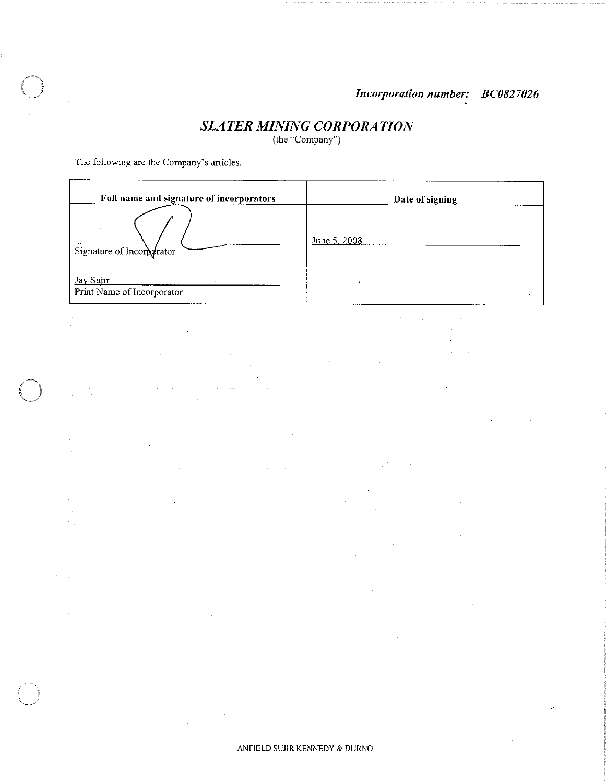$\mathcal{P}_{\text{max}}$  , and

 $\mathcal{A}$ 

 $\bar{\gamma}$ 

 $\mathcal{L}_{\mathcal{A}}$ 

 $\mathcal{A}^{\mathcal{A}}$ 

 $\bar{\alpha}$ 

 $\mathcal{L}^{\mathcal{L}}$ 

 $\hat{\mathcal{A}}$ 

 $\sim$ 

# **SLATER MINING CORPORATION**

(the "Company")

The following are the Company's articles.

÷.

 $\sim$ 

 $\sim$ 

 $\sim$ 

 $\mathcal{A}^{\pm}$ 

 $\bar{z}$ 

 $\mathcal{L}_{\mathcal{A}}$ 

 $\alpha=1/2$ 

 $\sim$ 

 $\hat{\gamma}$  $\bar{z}$ 

Ğ,  $\epsilon_{\rm 31}$ 

 $\bar{z}$ 

| Full name and signature of incorporators | Date of signing |
|------------------------------------------|-----------------|
| Signature of Incorporator                | June 5, 2008    |
| Jay Sujir<br>Print Name of Incorporator  |                 |

 $\Delta \phi = 0.000$ 

 $\sim$ 

 $\alpha$ 

 $\hat{\boldsymbol{\gamma}}$ 

 $\sim$ 

ANFIELD SUJIR KENNEDY & DURNO

 $\hat{\boldsymbol{\theta}}$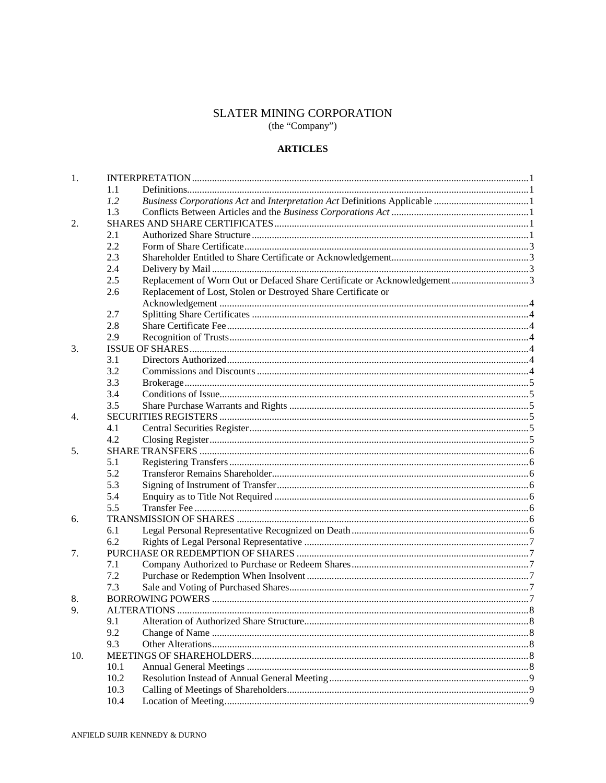# SLATER MINING CORPORATION (the "Company")

# **ARTICLES**

| 1.  |      |                                                               |  |
|-----|------|---------------------------------------------------------------|--|
|     | 1.1  |                                                               |  |
|     | 1.2  |                                                               |  |
|     | 1.3  |                                                               |  |
| 2.  |      |                                                               |  |
|     | 2.1  |                                                               |  |
|     | 2.2  |                                                               |  |
|     | 2.3  |                                                               |  |
|     | 2.4  |                                                               |  |
|     | 2.5  |                                                               |  |
|     | 2.6  | Replacement of Lost, Stolen or Destroyed Share Certificate or |  |
|     |      |                                                               |  |
|     | 2.7  |                                                               |  |
|     | 2.8  |                                                               |  |
|     | 2.9  |                                                               |  |
| 3.  |      |                                                               |  |
|     | 3.1  |                                                               |  |
|     | 3.2  |                                                               |  |
|     | 3.3  |                                                               |  |
|     | 3.4  |                                                               |  |
|     | 3.5  |                                                               |  |
| 4.  |      |                                                               |  |
|     | 4.1  |                                                               |  |
|     | 4.2  |                                                               |  |
| 5.  |      |                                                               |  |
|     | 5.1  |                                                               |  |
|     | 5.2  |                                                               |  |
|     | 5.3  |                                                               |  |
|     | 5.4  |                                                               |  |
|     | 5.5  |                                                               |  |
| 6.  |      |                                                               |  |
|     | 6.1  |                                                               |  |
|     | 6.2  |                                                               |  |
| 7.  |      |                                                               |  |
|     | 7.1  |                                                               |  |
|     | 7.2  |                                                               |  |
|     | 7.3  |                                                               |  |
| 8.  |      |                                                               |  |
| 9.  |      |                                                               |  |
|     | 9.1  |                                                               |  |
|     | 9.2  |                                                               |  |
|     | 9.3  |                                                               |  |
| 10. |      |                                                               |  |
|     | 10.1 |                                                               |  |
|     | 10.2 |                                                               |  |
|     | 10.3 |                                                               |  |
|     | 10.4 |                                                               |  |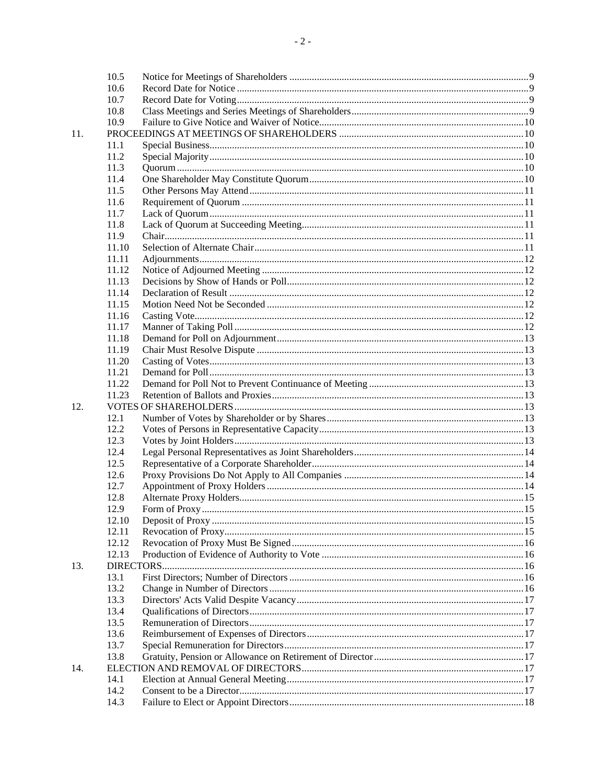|     | 10.5  |  |
|-----|-------|--|
|     | 10.6  |  |
|     | 10.7  |  |
|     | 10.8  |  |
|     | 10.9  |  |
| 11. |       |  |
|     | 11.1  |  |
|     | 11.2  |  |
|     | 11.3  |  |
|     | 11.4  |  |
|     | 11.5  |  |
|     | 11.6  |  |
|     | 11.7  |  |
|     | 11.8  |  |
|     | 11.9  |  |
|     | 11.10 |  |
|     | 11.11 |  |
|     | 11.12 |  |
|     | 11.13 |  |
|     | 11.14 |  |
|     | 11.15 |  |
|     | 11.16 |  |
|     | 11.17 |  |
|     | 11.18 |  |
|     | 11.19 |  |
|     | 11.20 |  |
|     | 11.21 |  |
|     | 11.22 |  |
|     | 11.23 |  |
| 12. |       |  |
|     | 12.1  |  |
|     | 12.2  |  |
|     | 12.3  |  |
|     | 12.4  |  |
|     | 12.5  |  |
|     | 12.6  |  |
|     | 12.7  |  |
|     | 12.8  |  |
|     | 12.9  |  |
|     | 12.10 |  |
|     | 12.11 |  |
|     | 12.12 |  |
|     | 12.13 |  |
| 13. |       |  |
|     | 13.1  |  |
|     | 13.2  |  |
|     | 13.3  |  |
|     | 13.4  |  |
|     | 13.5  |  |
|     | 13.6  |  |
|     | 13.7  |  |
|     | 13.8  |  |
| 14. |       |  |
|     | 14.1  |  |
|     | 14.2  |  |
|     | 14.3  |  |
|     |       |  |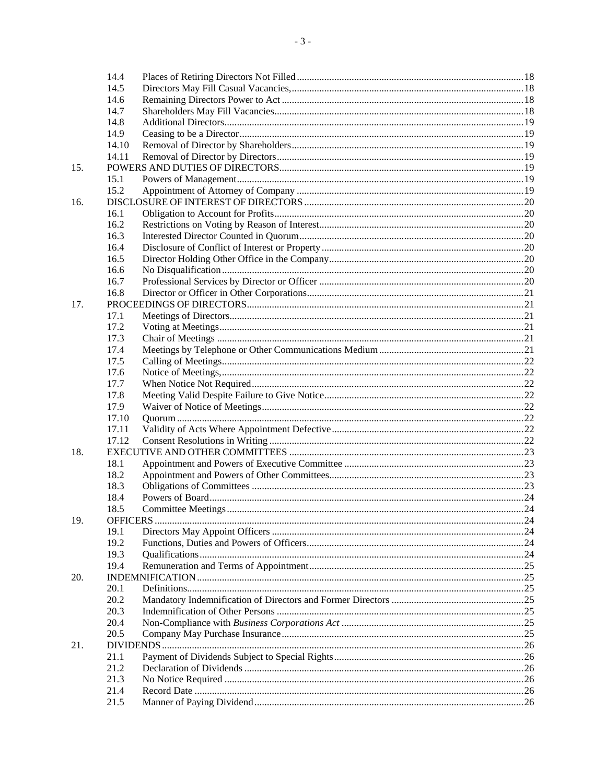|     | 14.4  |  |
|-----|-------|--|
|     | 14.5  |  |
|     | 14.6  |  |
|     | 14.7  |  |
|     | 14.8  |  |
|     | 14.9  |  |
|     | 14.10 |  |
|     | 14.11 |  |
| 15. |       |  |
|     | 15.1  |  |
|     | 15.2  |  |
| 16. |       |  |
|     | 16.1  |  |
|     | 16.2  |  |
|     | 16.3  |  |
|     | 16.4  |  |
|     | 16.5  |  |
|     |       |  |
|     | 16.6  |  |
|     | 16.7  |  |
|     | 16.8  |  |
| 17. |       |  |
|     | 17.1  |  |
|     | 17.2  |  |
|     | 17.3  |  |
|     | 17.4  |  |
|     | 17.5  |  |
|     | 17.6  |  |
|     | 17.7  |  |
|     | 17.8  |  |
|     | 17.9  |  |
|     | 17.10 |  |
|     | 17.11 |  |
|     | 17.12 |  |
| 18. |       |  |
|     | 18.1  |  |
|     | 18.2  |  |
|     | 18.3  |  |
|     | 18.4  |  |
|     | 18.5  |  |
| 19. |       |  |
|     | 19.1  |  |
|     | 19.2  |  |
|     | 19.3  |  |
|     | 19.4  |  |
| 20. |       |  |
|     | 20.1  |  |
|     | 20.2  |  |
|     | 20.3  |  |
|     | 20.4  |  |
|     | 20.5  |  |
| 21. |       |  |
|     | 21.1  |  |
|     | 21.2  |  |
|     | 21.3  |  |
|     | 21.4  |  |
|     | 21.5  |  |
|     |       |  |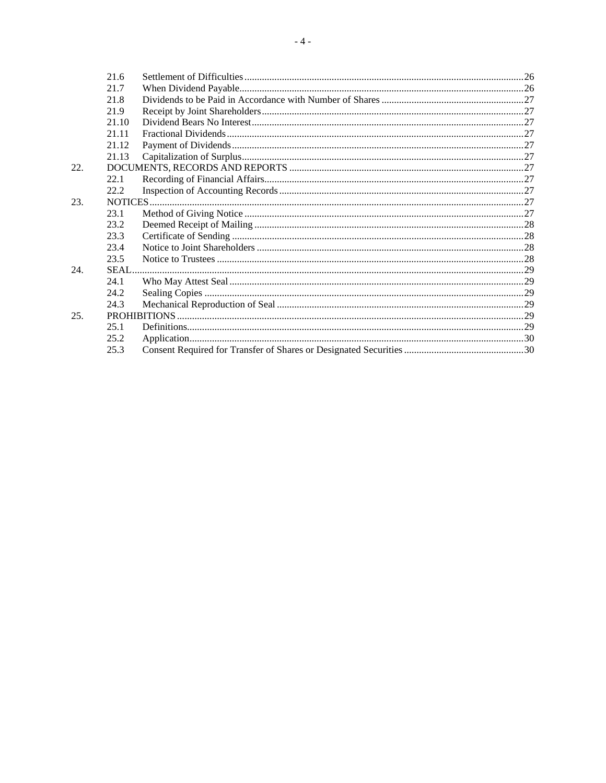| 21.6           |    |
|----------------|----|
| 21.7           |    |
| 21.8           |    |
| 21.9           |    |
| 21.10          |    |
| 21.11          |    |
| 21.12          |    |
|                |    |
|                |    |
|                |    |
| 22.2           |    |
| <b>NOTICES</b> | 27 |

| 22.2 |  |
|------|--|
|      |  |
| 23.1 |  |
| 23.2 |  |
| 23.3 |  |
| 23.4 |  |
| 23.5 |  |
|      |  |
| 24.1 |  |
| 24.2 |  |
| 24.3 |  |
|      |  |
| 25.1 |  |
| 25.2 |  |
| 25.3 |  |
|      |  |

22.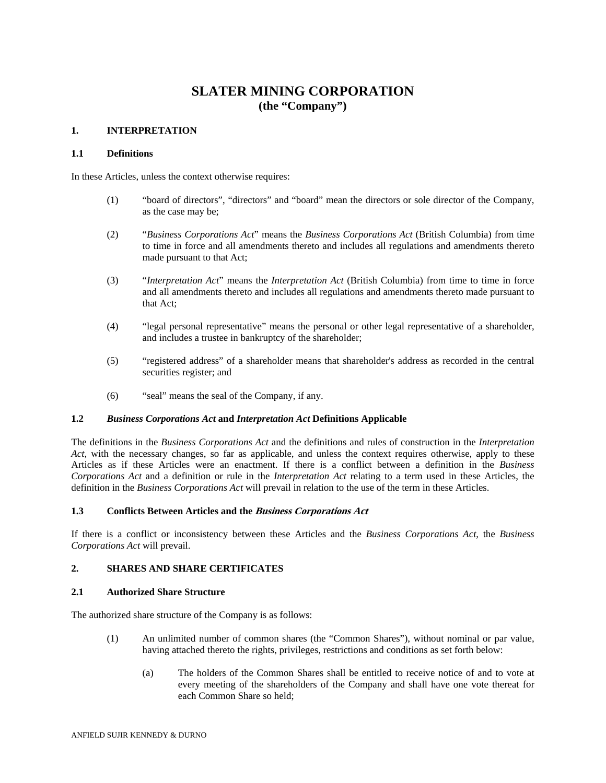# **SLATER MINING CORPORATION (the "Company")**

# **1. INTERPRETATION**

#### **1.1 Definitions**

In these Articles, unless the context otherwise requires:

- (1) "board of directors", "directors" and "board" mean the directors or sole director of the Company, as the case may be;
- (2) "*Business Corporations Act*" means the *Business Corporations Act* (British Columbia) from time to time in force and all amendments thereto and includes all regulations and amendments thereto made pursuant to that Act;
- (3) "*Interpretation Act*" means the *Interpretation Act* (British Columbia) from time to time in force and all amendments thereto and includes all regulations and amendments thereto made pursuant to that Act;
- (4) "legal personal representative" means the personal or other legal representative of a shareholder, and includes a trustee in bankruptcy of the shareholder;
- (5) "registered address" of a shareholder means that shareholder's address as recorded in the central securities register; and
- (6) "seal" means the seal of the Company, if any.

# **1.2** *Business Corporations Act* **and** *Interpretation Act* **Definitions Applicable**

The definitions in the *Business Corporations Act* and the definitions and rules of construction in the *Interpretation Act*, with the necessary changes, so far as applicable, and unless the context requires otherwise, apply to these Articles as if these Articles were an enactment. If there is a conflict between a definition in the *Business Corporations Act* and a definition or rule in the *Interpretation Act* relating to a term used in these Articles, the definition in the *Business Corporations Act* will prevail in relation to the use of the term in these Articles.

# **1.3 Conflicts Between Articles and the Business Corporations Act**

If there is a conflict or inconsistency between these Articles and the *Business Corporations Act*, the *Business Corporations Act* will prevail.

#### **2. SHARES AND SHARE CERTIFICATES**

#### **2.1 Authorized Share Structure**

The authorized share structure of the Company is as follows:

- (1) An unlimited number of common shares (the "Common Shares"), without nominal or par value, having attached thereto the rights, privileges, restrictions and conditions as set forth below:
	- (a) The holders of the Common Shares shall be entitled to receive notice of and to vote at every meeting of the shareholders of the Company and shall have one vote thereat for each Common Share so held;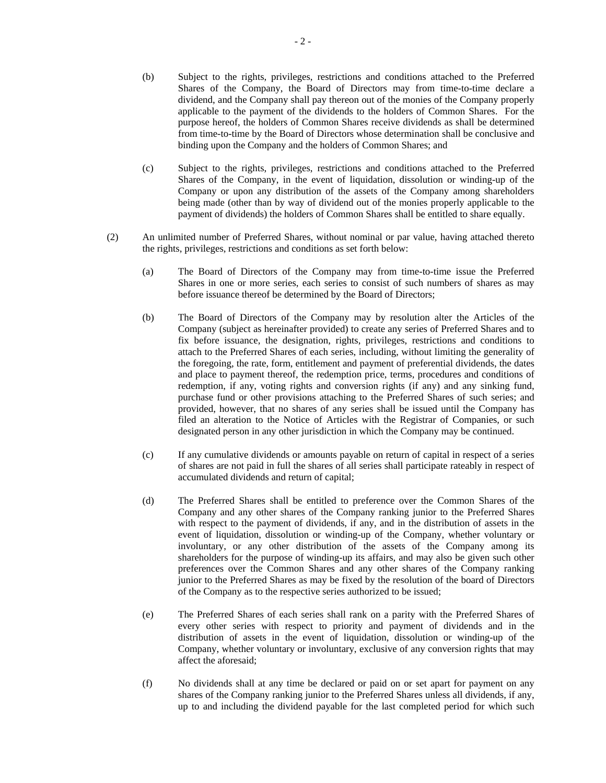- (b) Subject to the rights, privileges, restrictions and conditions attached to the Preferred Shares of the Company, the Board of Directors may from time-to-time declare a dividend, and the Company shall pay thereon out of the monies of the Company properly applicable to the payment of the dividends to the holders of Common Shares. For the purpose hereof, the holders of Common Shares receive dividends as shall be determined from time-to-time by the Board of Directors whose determination shall be conclusive and binding upon the Company and the holders of Common Shares; and
- (c) Subject to the rights, privileges, restrictions and conditions attached to the Preferred Shares of the Company, in the event of liquidation, dissolution or winding-up of the Company or upon any distribution of the assets of the Company among shareholders being made (other than by way of dividend out of the monies properly applicable to the payment of dividends) the holders of Common Shares shall be entitled to share equally.
- (2) An unlimited number of Preferred Shares, without nominal or par value, having attached thereto the rights, privileges, restrictions and conditions as set forth below:
	- (a) The Board of Directors of the Company may from time-to-time issue the Preferred Shares in one or more series, each series to consist of such numbers of shares as may before issuance thereof be determined by the Board of Directors;
	- (b) The Board of Directors of the Company may by resolution alter the Articles of the Company (subject as hereinafter provided) to create any series of Preferred Shares and to fix before issuance, the designation, rights, privileges, restrictions and conditions to attach to the Preferred Shares of each series, including, without limiting the generality of the foregoing, the rate, form, entitlement and payment of preferential dividends, the dates and place to payment thereof, the redemption price, terms, procedures and conditions of redemption, if any, voting rights and conversion rights (if any) and any sinking fund, purchase fund or other provisions attaching to the Preferred Shares of such series; and provided, however, that no shares of any series shall be issued until the Company has filed an alteration to the Notice of Articles with the Registrar of Companies, or such designated person in any other jurisdiction in which the Company may be continued.
	- (c) If any cumulative dividends or amounts payable on return of capital in respect of a series of shares are not paid in full the shares of all series shall participate rateably in respect of accumulated dividends and return of capital;
	- (d) The Preferred Shares shall be entitled to preference over the Common Shares of the Company and any other shares of the Company ranking junior to the Preferred Shares with respect to the payment of dividends, if any, and in the distribution of assets in the event of liquidation, dissolution or winding-up of the Company, whether voluntary or involuntary, or any other distribution of the assets of the Company among its shareholders for the purpose of winding-up its affairs, and may also be given such other preferences over the Common Shares and any other shares of the Company ranking junior to the Preferred Shares as may be fixed by the resolution of the board of Directors of the Company as to the respective series authorized to be issued;
	- (e) The Preferred Shares of each series shall rank on a parity with the Preferred Shares of every other series with respect to priority and payment of dividends and in the distribution of assets in the event of liquidation, dissolution or winding-up of the Company, whether voluntary or involuntary, exclusive of any conversion rights that may affect the aforesaid;
	- (f) No dividends shall at any time be declared or paid on or set apart for payment on any shares of the Company ranking junior to the Preferred Shares unless all dividends, if any, up to and including the dividend payable for the last completed period for which such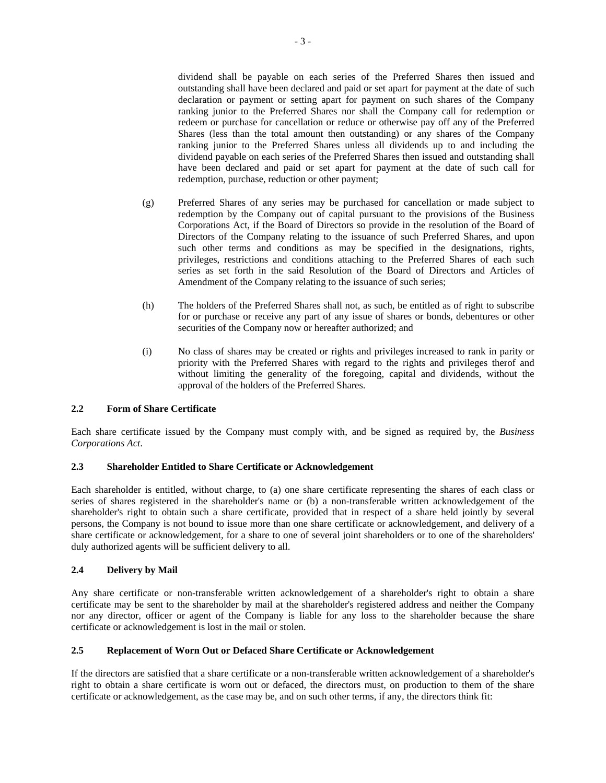dividend shall be payable on each series of the Preferred Shares then issued and outstanding shall have been declared and paid or set apart for payment at the date of such declaration or payment or setting apart for payment on such shares of the Company ranking junior to the Preferred Shares nor shall the Company call for redemption or redeem or purchase for cancellation or reduce or otherwise pay off any of the Preferred Shares (less than the total amount then outstanding) or any shares of the Company ranking junior to the Preferred Shares unless all dividends up to and including the dividend payable on each series of the Preferred Shares then issued and outstanding shall have been declared and paid or set apart for payment at the date of such call for redemption, purchase, reduction or other payment;

- (g) Preferred Shares of any series may be purchased for cancellation or made subject to redemption by the Company out of capital pursuant to the provisions of the Business Corporations Act, if the Board of Directors so provide in the resolution of the Board of Directors of the Company relating to the issuance of such Preferred Shares, and upon such other terms and conditions as may be specified in the designations, rights, privileges, restrictions and conditions attaching to the Preferred Shares of each such series as set forth in the said Resolution of the Board of Directors and Articles of Amendment of the Company relating to the issuance of such series;
- (h) The holders of the Preferred Shares shall not, as such, be entitled as of right to subscribe for or purchase or receive any part of any issue of shares or bonds, debentures or other securities of the Company now or hereafter authorized; and
- (i) No class of shares may be created or rights and privileges increased to rank in parity or priority with the Preferred Shares with regard to the rights and privileges therof and without limiting the generality of the foregoing, capital and dividends, without the approval of the holders of the Preferred Shares.

#### **2.2 Form of Share Certificate**

Each share certificate issued by the Company must comply with, and be signed as required by, the *Business Corporations Act*.

### **2.3 Shareholder Entitled to Share Certificate or Acknowledgement**

Each shareholder is entitled, without charge, to (a) one share certificate representing the shares of each class or series of shares registered in the shareholder's name or (b) a non-transferable written acknowledgement of the shareholder's right to obtain such a share certificate, provided that in respect of a share held jointly by several persons, the Company is not bound to issue more than one share certificate or acknowledgement, and delivery of a share certificate or acknowledgement, for a share to one of several joint shareholders or to one of the shareholders' duly authorized agents will be sufficient delivery to all.

# **2.4 Delivery by Mail**

Any share certificate or non-transferable written acknowledgement of a shareholder's right to obtain a share certificate may be sent to the shareholder by mail at the shareholder's registered address and neither the Company nor any director, officer or agent of the Company is liable for any loss to the shareholder because the share certificate or acknowledgement is lost in the mail or stolen.

# **2.5 Replacement of Worn Out or Defaced Share Certificate or Acknowledgement**

If the directors are satisfied that a share certificate or a non-transferable written acknowledgement of a shareholder's right to obtain a share certificate is worn out or defaced, the directors must, on production to them of the share certificate or acknowledgement, as the case may be, and on such other terms, if any, the directors think fit: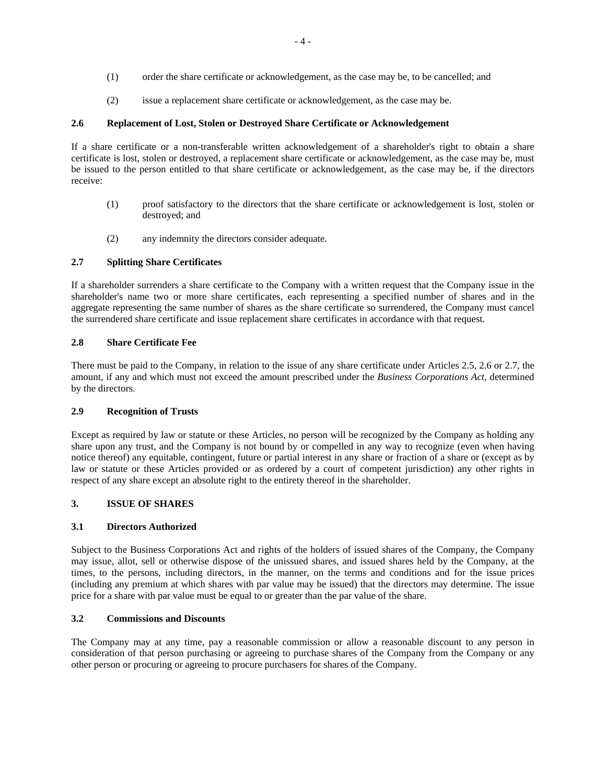- (1) order the share certificate or acknowledgement, as the case may be, to be cancelled; and
- (2) issue a replacement share certificate or acknowledgement, as the case may be.

# **2.6 Replacement of Lost, Stolen or Destroyed Share Certificate or Acknowledgement**

If a share certificate or a non-transferable written acknowledgement of a shareholder's right to obtain a share certificate is lost, stolen or destroyed, a replacement share certificate or acknowledgement, as the case may be, must be issued to the person entitled to that share certificate or acknowledgement, as the case may be, if the directors receive:

- (1) proof satisfactory to the directors that the share certificate or acknowledgement is lost, stolen or destroyed; and
- (2) any indemnity the directors consider adequate.

# **2.7 Splitting Share Certificates**

If a shareholder surrenders a share certificate to the Company with a written request that the Company issue in the shareholder's name two or more share certificates, each representing a specified number of shares and in the aggregate representing the same number of shares as the share certificate so surrendered, the Company must cancel the surrendered share certificate and issue replacement share certificates in accordance with that request.

# **2.8 Share Certificate Fee**

There must be paid to the Company, in relation to the issue of any share certificate under Articles 2.5, 2.6 or 2.7, the amount, if any and which must not exceed the amount prescribed under the *Business Corporations Act*, determined by the directors.

#### **2.9 Recognition of Trusts**

Except as required by law or statute or these Articles, no person will be recognized by the Company as holding any share upon any trust, and the Company is not bound by or compelled in any way to recognize (even when having notice thereof) any equitable, contingent, future or partial interest in any share or fraction of a share or (except as by law or statute or these Articles provided or as ordered by a court of competent jurisdiction) any other rights in respect of any share except an absolute right to the entirety thereof in the shareholder.

#### **3. ISSUE OF SHARES**

#### **3.1 Directors Authorized**

Subject to the Business Corporations Act and rights of the holders of issued shares of the Company, the Company may issue, allot, sell or otherwise dispose of the unissued shares, and issued shares held by the Company, at the times, to the persons, including directors, in the manner, on the terms and conditions and for the issue prices (including any premium at which shares with par value may be issued) that the directors may determine. The issue price for a share with par value must be equal to or greater than the par value of the share.

# **3.2 Commissions and Discounts**

The Company may at any time, pay a reasonable commission or allow a reasonable discount to any person in consideration of that person purchasing or agreeing to purchase shares of the Company from the Company or any other person or procuring or agreeing to procure purchasers for shares of the Company.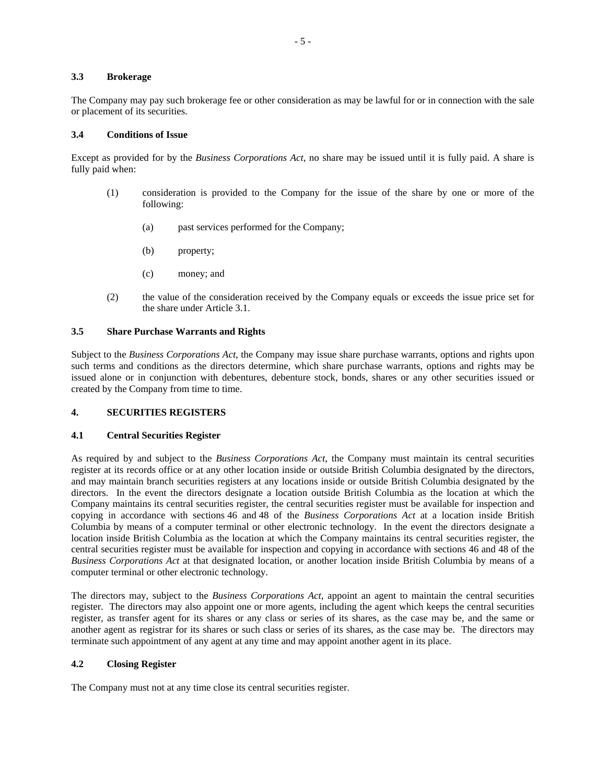# **3.3 Brokerage**

The Company may pay such brokerage fee or other consideration as may be lawful for or in connection with the sale or placement of its securities.

### **3.4 Conditions of Issue**

Except as provided for by the *Business Corporations Act*, no share may be issued until it is fully paid. A share is fully paid when:

- (1) consideration is provided to the Company for the issue of the share by one or more of the following:
	- (a) past services performed for the Company;
	- (b) property;
	- (c) money; and
- (2) the value of the consideration received by the Company equals or exceeds the issue price set for the share under Article 3.1.

# **3.5 Share Purchase Warrants and Rights**

Subject to the *Business Corporations Act*, the Company may issue share purchase warrants, options and rights upon such terms and conditions as the directors determine, which share purchase warrants, options and rights may be issued alone or in conjunction with debentures, debenture stock, bonds, shares or any other securities issued or created by the Company from time to time.

#### **4. SECURITIES REGISTERS**

#### **4.1 Central Securities Register**

As required by and subject to the *Business Corporations Act*, the Company must maintain its central securities register at its records office or at any other location inside or outside British Columbia designated by the directors, and may maintain branch securities registers at any locations inside or outside British Columbia designated by the directors. In the event the directors designate a location outside British Columbia as the location at which the Company maintains its central securities register, the central securities register must be available for inspection and copying in accordance with sections 46 and 48 of the *Business Corporations Act* at a location inside British Columbia by means of a computer terminal or other electronic technology. In the event the directors designate a location inside British Columbia as the location at which the Company maintains its central securities register, the central securities register must be available for inspection and copying in accordance with sections 46 and 48 of the *Business Corporations Act* at that designated location, or another location inside British Columbia by means of a computer terminal or other electronic technology.

The directors may, subject to the *Business Corporations Act,* appoint an agent to maintain the central securities register. The directors may also appoint one or more agents, including the agent which keeps the central securities register, as transfer agent for its shares or any class or series of its shares, as the case may be, and the same or another agent as registrar for its shares or such class or series of its shares, as the case may be. The directors may terminate such appointment of any agent at any time and may appoint another agent in its place.

# **4.2 Closing Register**

The Company must not at any time close its central securities register.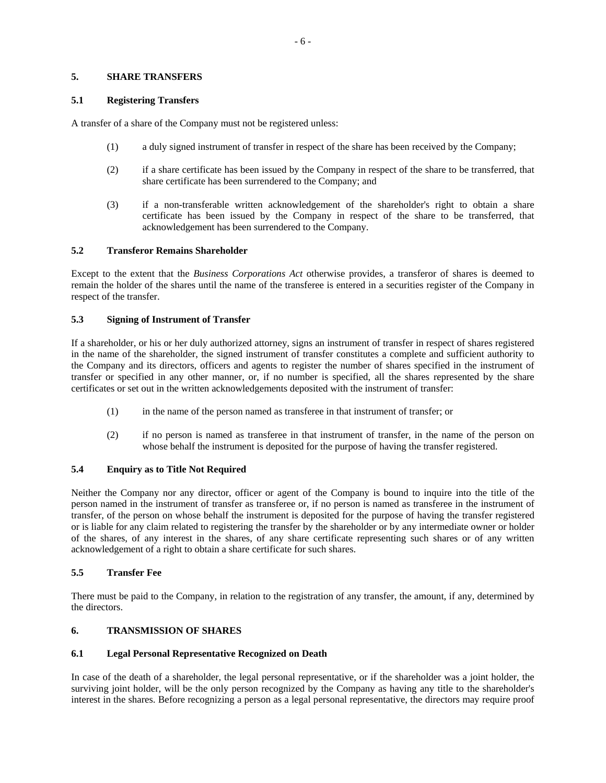#### **5. SHARE TRANSFERS**

# **5.1 Registering Transfers**

A transfer of a share of the Company must not be registered unless:

- (1) a duly signed instrument of transfer in respect of the share has been received by the Company;
- (2) if a share certificate has been issued by the Company in respect of the share to be transferred, that share certificate has been surrendered to the Company; and
- (3) if a non-transferable written acknowledgement of the shareholder's right to obtain a share certificate has been issued by the Company in respect of the share to be transferred, that acknowledgement has been surrendered to the Company.

# **5.2 Transferor Remains Shareholder**

Except to the extent that the *Business Corporations Act* otherwise provides, a transferor of shares is deemed to remain the holder of the shares until the name of the transferee is entered in a securities register of the Company in respect of the transfer.

# **5.3 Signing of Instrument of Transfer**

If a shareholder, or his or her duly authorized attorney, signs an instrument of transfer in respect of shares registered in the name of the shareholder, the signed instrument of transfer constitutes a complete and sufficient authority to the Company and its directors, officers and agents to register the number of shares specified in the instrument of transfer or specified in any other manner, or, if no number is specified, all the shares represented by the share certificates or set out in the written acknowledgements deposited with the instrument of transfer:

- (1) in the name of the person named as transferee in that instrument of transfer; or
- (2) if no person is named as transferee in that instrument of transfer, in the name of the person on whose behalf the instrument is deposited for the purpose of having the transfer registered.

# **5.4 Enquiry as to Title Not Required**

Neither the Company nor any director, officer or agent of the Company is bound to inquire into the title of the person named in the instrument of transfer as transferee or, if no person is named as transferee in the instrument of transfer, of the person on whose behalf the instrument is deposited for the purpose of having the transfer registered or is liable for any claim related to registering the transfer by the shareholder or by any intermediate owner or holder of the shares, of any interest in the shares, of any share certificate representing such shares or of any written acknowledgement of a right to obtain a share certificate for such shares.

#### **5.5 Transfer Fee**

There must be paid to the Company, in relation to the registration of any transfer, the amount, if any, determined by the directors.

# **6. TRANSMISSION OF SHARES**

# **6.1 Legal Personal Representative Recognized on Death**

In case of the death of a shareholder, the legal personal representative, or if the shareholder was a joint holder, the surviving joint holder, will be the only person recognized by the Company as having any title to the shareholder's interest in the shares. Before recognizing a person as a legal personal representative, the directors may require proof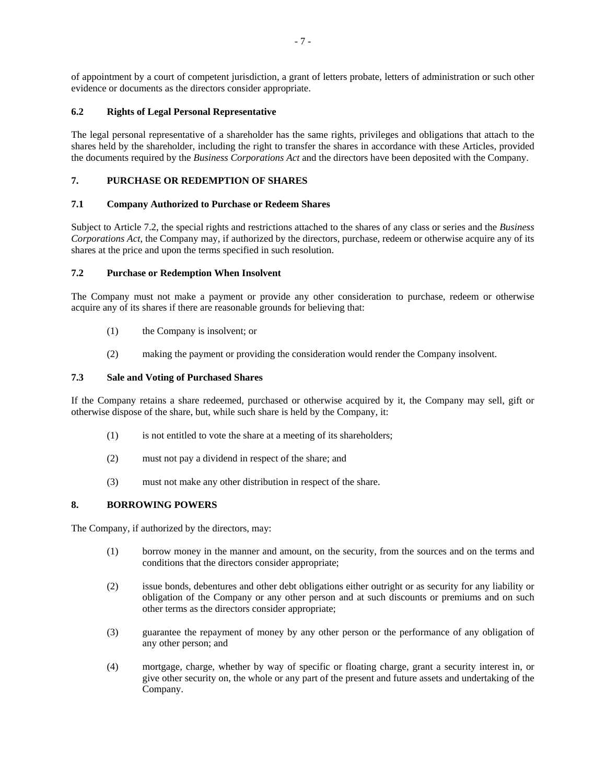of appointment by a court of competent jurisdiction, a grant of letters probate, letters of administration or such other evidence or documents as the directors consider appropriate.

# **6.2 Rights of Legal Personal Representative**

The legal personal representative of a shareholder has the same rights, privileges and obligations that attach to the shares held by the shareholder, including the right to transfer the shares in accordance with these Articles, provided the documents required by the *Business Corporations Act* and the directors have been deposited with the Company.

# **7. PURCHASE OR REDEMPTION OF SHARES**

# **7.1 Company Authorized to Purchase or Redeem Shares**

Subject to Article 7.2, the special rights and restrictions attached to the shares of any class or series and the *Business Corporations Act*, the Company may, if authorized by the directors, purchase, redeem or otherwise acquire any of its shares at the price and upon the terms specified in such resolution.

# **7.2 Purchase or Redemption When Insolvent**

The Company must not make a payment or provide any other consideration to purchase, redeem or otherwise acquire any of its shares if there are reasonable grounds for believing that:

- (1) the Company is insolvent; or
- (2) making the payment or providing the consideration would render the Company insolvent.

# **7.3 Sale and Voting of Purchased Shares**

If the Company retains a share redeemed, purchased or otherwise acquired by it, the Company may sell, gift or otherwise dispose of the share, but, while such share is held by the Company, it:

- (1) is not entitled to vote the share at a meeting of its shareholders;
- (2) must not pay a dividend in respect of the share; and
- (3) must not make any other distribution in respect of the share.

# **8. BORROWING POWERS**

The Company, if authorized by the directors, may:

- (1) borrow money in the manner and amount, on the security, from the sources and on the terms and conditions that the directors consider appropriate;
- (2) issue bonds, debentures and other debt obligations either outright or as security for any liability or obligation of the Company or any other person and at such discounts or premiums and on such other terms as the directors consider appropriate;
- (3) guarantee the repayment of money by any other person or the performance of any obligation of any other person; and
- (4) mortgage, charge, whether by way of specific or floating charge, grant a security interest in, or give other security on, the whole or any part of the present and future assets and undertaking of the Company.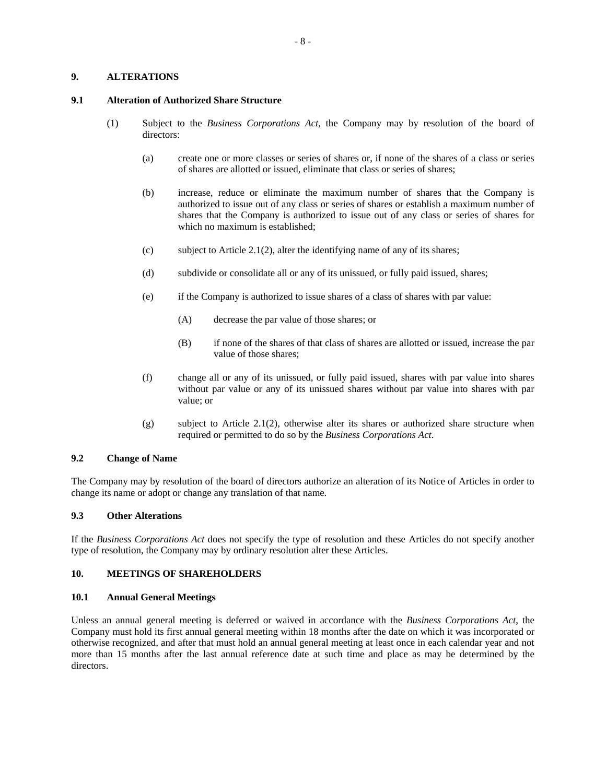# **9. ALTERATIONS**

#### **9.1 Alteration of Authorized Share Structure**

- (1) Subject to the *Business Corporations Act*, the Company may by resolution of the board of directors:
	- (a) create one or more classes or series of shares or, if none of the shares of a class or series of shares are allotted or issued, eliminate that class or series of shares;
	- (b) increase, reduce or eliminate the maximum number of shares that the Company is authorized to issue out of any class or series of shares or establish a maximum number of shares that the Company is authorized to issue out of any class or series of shares for which no maximum is established;
	- (c) subject to Article 2.1(2), alter the identifying name of any of its shares;
	- (d) subdivide or consolidate all or any of its unissued, or fully paid issued, shares;
	- (e) if the Company is authorized to issue shares of a class of shares with par value:
		- (A) decrease the par value of those shares; or
		- (B) if none of the shares of that class of shares are allotted or issued, increase the par value of those shares;
	- (f) change all or any of its unissued, or fully paid issued, shares with par value into shares without par value or any of its unissued shares without par value into shares with par value; or
	- (g) subject to Article 2.1(2), otherwise alter its shares or authorized share structure when required or permitted to do so by the *Business Corporations Act*.

# **9.2 Change of Name**

The Company may by resolution of the board of directors authorize an alteration of its Notice of Articles in order to change its name or adopt or change any translation of that name.

# **9.3 Other Alterations**

If the *Business Corporations Act* does not specify the type of resolution and these Articles do not specify another type of resolution, the Company may by ordinary resolution alter these Articles.

# **10. MEETINGS OF SHAREHOLDERS**

#### **10.1 Annual General Meetings**

Unless an annual general meeting is deferred or waived in accordance with the *Business Corporations Act*, the Company must hold its first annual general meeting within 18 months after the date on which it was incorporated or otherwise recognized, and after that must hold an annual general meeting at least once in each calendar year and not more than 15 months after the last annual reference date at such time and place as may be determined by the directors.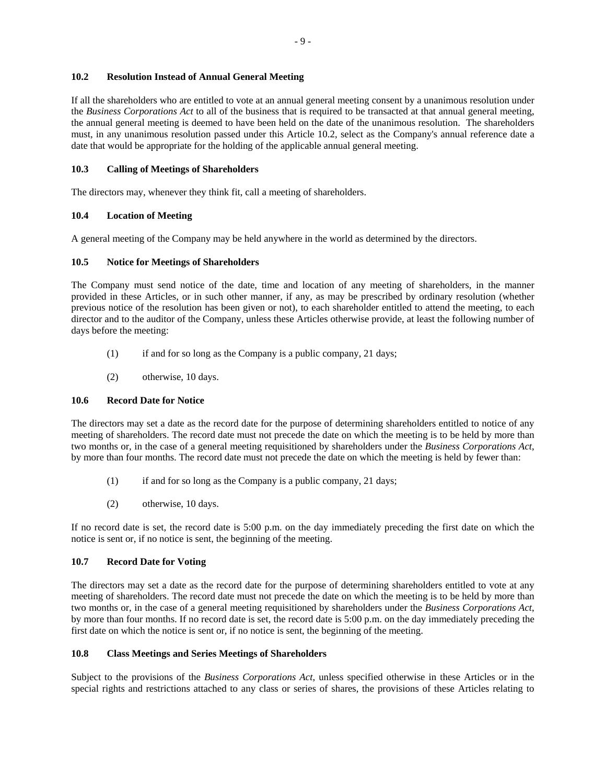# **10.2 Resolution Instead of Annual General Meeting**

If all the shareholders who are entitled to vote at an annual general meeting consent by a unanimous resolution under the *Business Corporations Act* to all of the business that is required to be transacted at that annual general meeting, the annual general meeting is deemed to have been held on the date of the unanimous resolution. The shareholders must, in any unanimous resolution passed under this Article 10.2, select as the Company's annual reference date a date that would be appropriate for the holding of the applicable annual general meeting.

# **10.3 Calling of Meetings of Shareholders**

The directors may, whenever they think fit, call a meeting of shareholders.

# **10.4 Location of Meeting**

A general meeting of the Company may be held anywhere in the world as determined by the directors.

# **10.5 Notice for Meetings of Shareholders**

The Company must send notice of the date, time and location of any meeting of shareholders, in the manner provided in these Articles, or in such other manner, if any, as may be prescribed by ordinary resolution (whether previous notice of the resolution has been given or not), to each shareholder entitled to attend the meeting, to each director and to the auditor of the Company, unless these Articles otherwise provide, at least the following number of days before the meeting:

- (1) if and for so long as the Company is a public company, 21 days;
- (2) otherwise, 10 days.

# **10.6 Record Date for Notice**

The directors may set a date as the record date for the purpose of determining shareholders entitled to notice of any meeting of shareholders. The record date must not precede the date on which the meeting is to be held by more than two months or, in the case of a general meeting requisitioned by shareholders under the *Business Corporations Act*, by more than four months. The record date must not precede the date on which the meeting is held by fewer than:

- (1) if and for so long as the Company is a public company, 21 days;
- (2) otherwise, 10 days.

If no record date is set, the record date is 5:00 p.m. on the day immediately preceding the first date on which the notice is sent or, if no notice is sent, the beginning of the meeting.

# **10.7 Record Date for Voting**

The directors may set a date as the record date for the purpose of determining shareholders entitled to vote at any meeting of shareholders. The record date must not precede the date on which the meeting is to be held by more than two months or, in the case of a general meeting requisitioned by shareholders under the *Business Corporations Act*, by more than four months. If no record date is set, the record date is 5:00 p.m. on the day immediately preceding the first date on which the notice is sent or, if no notice is sent, the beginning of the meeting.

#### **10.8 Class Meetings and Series Meetings of Shareholders**

Subject to the provisions of the *Business Corporations Act*, unless specified otherwise in these Articles or in the special rights and restrictions attached to any class or series of shares, the provisions of these Articles relating to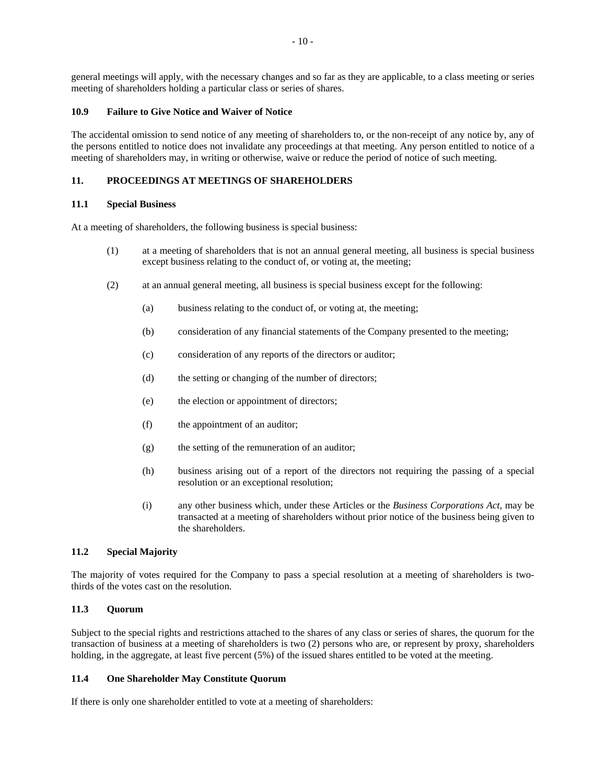general meetings will apply, with the necessary changes and so far as they are applicable, to a class meeting or series meeting of shareholders holding a particular class or series of shares.

# **10.9 Failure to Give Notice and Waiver of Notice**

The accidental omission to send notice of any meeting of shareholders to, or the non-receipt of any notice by, any of the persons entitled to notice does not invalidate any proceedings at that meeting. Any person entitled to notice of a meeting of shareholders may, in writing or otherwise, waive or reduce the period of notice of such meeting.

# **11. PROCEEDINGS AT MEETINGS OF SHAREHOLDERS**

#### **11.1 Special Business**

At a meeting of shareholders, the following business is special business:

- (1) at a meeting of shareholders that is not an annual general meeting, all business is special business except business relating to the conduct of, or voting at, the meeting;
- (2) at an annual general meeting, all business is special business except for the following:
	- (a) business relating to the conduct of, or voting at, the meeting;
	- (b) consideration of any financial statements of the Company presented to the meeting;
	- (c) consideration of any reports of the directors or auditor;
	- (d) the setting or changing of the number of directors;
	- (e) the election or appointment of directors;
	- (f) the appointment of an auditor;
	- (g) the setting of the remuneration of an auditor;
	- (h) business arising out of a report of the directors not requiring the passing of a special resolution or an exceptional resolution;
	- (i) any other business which, under these Articles or the *Business Corporations Act*, may be transacted at a meeting of shareholders without prior notice of the business being given to the shareholders.

# **11.2 Special Majority**

The majority of votes required for the Company to pass a special resolution at a meeting of shareholders is twothirds of the votes cast on the resolution.

# **11.3 Quorum**

Subject to the special rights and restrictions attached to the shares of any class or series of shares, the quorum for the transaction of business at a meeting of shareholders is two (2) persons who are, or represent by proxy, shareholders holding, in the aggregate, at least five percent (5%) of the issued shares entitled to be voted at the meeting.

# **11.4 One Shareholder May Constitute Quorum**

If there is only one shareholder entitled to vote at a meeting of shareholders: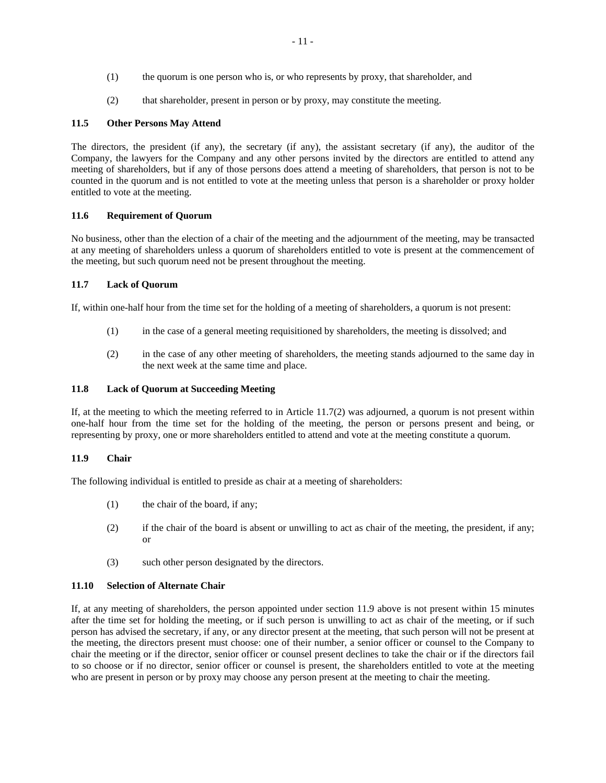- (1) the quorum is one person who is, or who represents by proxy, that shareholder, and
- (2) that shareholder, present in person or by proxy, may constitute the meeting.

# **11.5 Other Persons May Attend**

The directors, the president (if any), the secretary (if any), the assistant secretary (if any), the auditor of the Company, the lawyers for the Company and any other persons invited by the directors are entitled to attend any meeting of shareholders, but if any of those persons does attend a meeting of shareholders, that person is not to be counted in the quorum and is not entitled to vote at the meeting unless that person is a shareholder or proxy holder entitled to vote at the meeting.

# **11.6 Requirement of Quorum**

No business, other than the election of a chair of the meeting and the adjournment of the meeting, may be transacted at any meeting of shareholders unless a quorum of shareholders entitled to vote is present at the commencement of the meeting, but such quorum need not be present throughout the meeting.

# **11.7 Lack of Quorum**

If, within one-half hour from the time set for the holding of a meeting of shareholders, a quorum is not present:

- (1) in the case of a general meeting requisitioned by shareholders, the meeting is dissolved; and
- (2) in the case of any other meeting of shareholders, the meeting stands adjourned to the same day in the next week at the same time and place.

# **11.8 Lack of Quorum at Succeeding Meeting**

If, at the meeting to which the meeting referred to in Article 11.7(2) was adjourned, a quorum is not present within one-half hour from the time set for the holding of the meeting, the person or persons present and being, or representing by proxy, one or more shareholders entitled to attend and vote at the meeting constitute a quorum.

#### **11.9 Chair**

The following individual is entitled to preside as chair at a meeting of shareholders:

- (1) the chair of the board, if any;
- (2) if the chair of the board is absent or unwilling to act as chair of the meeting, the president, if any; or
- (3) such other person designated by the directors.

#### **11.10 Selection of Alternate Chair**

If, at any meeting of shareholders, the person appointed under section 11.9 above is not present within 15 minutes after the time set for holding the meeting, or if such person is unwilling to act as chair of the meeting, or if such person has advised the secretary, if any, or any director present at the meeting, that such person will not be present at the meeting, the directors present must choose: one of their number, a senior officer or counsel to the Company to chair the meeting or if the director, senior officer or counsel present declines to take the chair or if the directors fail to so choose or if no director, senior officer or counsel is present, the shareholders entitled to vote at the meeting who are present in person or by proxy may choose any person present at the meeting to chair the meeting.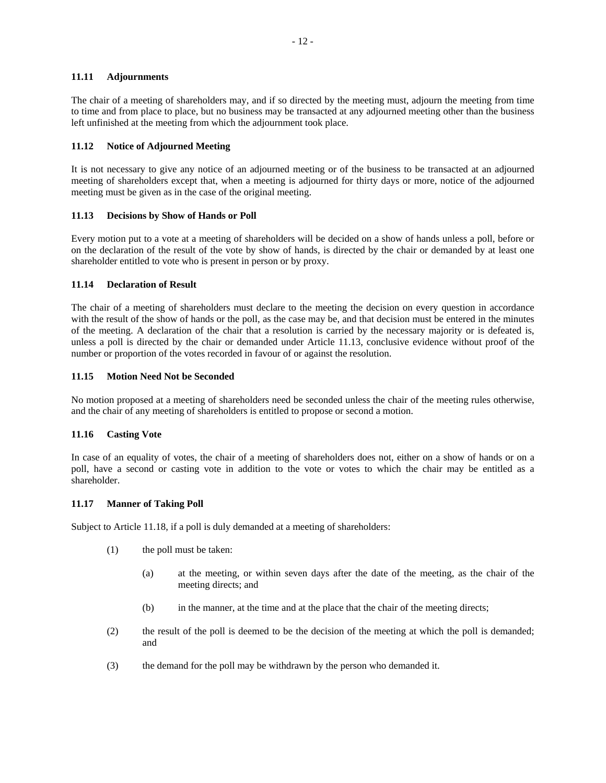# **11.11 Adjournments**

The chair of a meeting of shareholders may, and if so directed by the meeting must, adjourn the meeting from time to time and from place to place, but no business may be transacted at any adjourned meeting other than the business left unfinished at the meeting from which the adjournment took place.

# **11.12 Notice of Adjourned Meeting**

It is not necessary to give any notice of an adjourned meeting or of the business to be transacted at an adjourned meeting of shareholders except that, when a meeting is adjourned for thirty days or more, notice of the adjourned meeting must be given as in the case of the original meeting.

# **11.13 Decisions by Show of Hands or Poll**

Every motion put to a vote at a meeting of shareholders will be decided on a show of hands unless a poll, before or on the declaration of the result of the vote by show of hands, is directed by the chair or demanded by at least one shareholder entitled to vote who is present in person or by proxy.

# **11.14 Declaration of Result**

The chair of a meeting of shareholders must declare to the meeting the decision on every question in accordance with the result of the show of hands or the poll, as the case may be, and that decision must be entered in the minutes of the meeting. A declaration of the chair that a resolution is carried by the necessary majority or is defeated is, unless a poll is directed by the chair or demanded under Article 11.13, conclusive evidence without proof of the number or proportion of the votes recorded in favour of or against the resolution.

# **11.15 Motion Need Not be Seconded**

No motion proposed at a meeting of shareholders need be seconded unless the chair of the meeting rules otherwise, and the chair of any meeting of shareholders is entitled to propose or second a motion.

#### **11.16 Casting Vote**

In case of an equality of votes, the chair of a meeting of shareholders does not, either on a show of hands or on a poll, have a second or casting vote in addition to the vote or votes to which the chair may be entitled as a shareholder.

#### **11.17 Manner of Taking Poll**

Subject to Article 11.18, if a poll is duly demanded at a meeting of shareholders:

- (1) the poll must be taken:
	- (a) at the meeting, or within seven days after the date of the meeting, as the chair of the meeting directs; and
	- (b) in the manner, at the time and at the place that the chair of the meeting directs;
- (2) the result of the poll is deemed to be the decision of the meeting at which the poll is demanded; and
- (3) the demand for the poll may be withdrawn by the person who demanded it.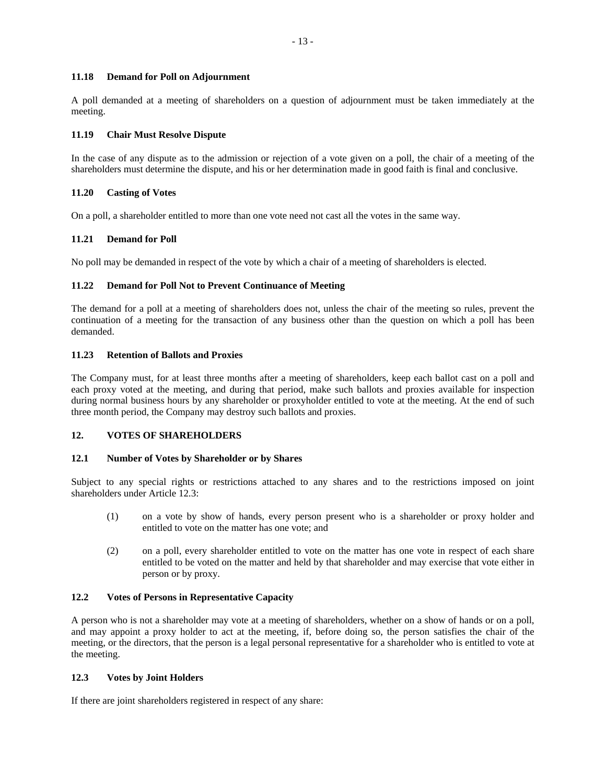#### **11.18 Demand for Poll on Adjournment**

A poll demanded at a meeting of shareholders on a question of adjournment must be taken immediately at the meeting.

### **11.19 Chair Must Resolve Dispute**

In the case of any dispute as to the admission or rejection of a vote given on a poll, the chair of a meeting of the shareholders must determine the dispute, and his or her determination made in good faith is final and conclusive.

# **11.20 Casting of Votes**

On a poll, a shareholder entitled to more than one vote need not cast all the votes in the same way.

# **11.21 Demand for Poll**

No poll may be demanded in respect of the vote by which a chair of a meeting of shareholders is elected.

# **11.22 Demand for Poll Not to Prevent Continuance of Meeting**

The demand for a poll at a meeting of shareholders does not, unless the chair of the meeting so rules, prevent the continuation of a meeting for the transaction of any business other than the question on which a poll has been demanded.

#### **11.23 Retention of Ballots and Proxies**

The Company must, for at least three months after a meeting of shareholders, keep each ballot cast on a poll and each proxy voted at the meeting, and during that period, make such ballots and proxies available for inspection during normal business hours by any shareholder or proxyholder entitled to vote at the meeting. At the end of such three month period, the Company may destroy such ballots and proxies.

# **12. VOTES OF SHAREHOLDERS**

#### **12.1 Number of Votes by Shareholder or by Shares**

Subject to any special rights or restrictions attached to any shares and to the restrictions imposed on joint shareholders under Article 12.3:

- (1) on a vote by show of hands, every person present who is a shareholder or proxy holder and entitled to vote on the matter has one vote; and
- (2) on a poll, every shareholder entitled to vote on the matter has one vote in respect of each share entitled to be voted on the matter and held by that shareholder and may exercise that vote either in person or by proxy.

### **12.2 Votes of Persons in Representative Capacity**

A person who is not a shareholder may vote at a meeting of shareholders, whether on a show of hands or on a poll, and may appoint a proxy holder to act at the meeting, if, before doing so, the person satisfies the chair of the meeting, or the directors, that the person is a legal personal representative for a shareholder who is entitled to vote at the meeting.

#### **12.3 Votes by Joint Holders**

If there are joint shareholders registered in respect of any share: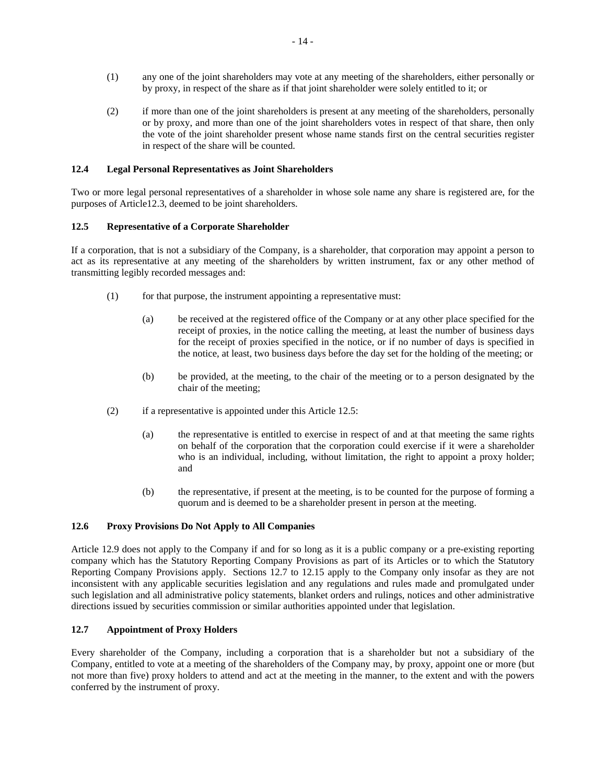- (1) any one of the joint shareholders may vote at any meeting of the shareholders, either personally or by proxy, in respect of the share as if that joint shareholder were solely entitled to it; or
- (2) if more than one of the joint shareholders is present at any meeting of the shareholders, personally or by proxy, and more than one of the joint shareholders votes in respect of that share, then only the vote of the joint shareholder present whose name stands first on the central securities register in respect of the share will be counted.

# **12.4 Legal Personal Representatives as Joint Shareholders**

Two or more legal personal representatives of a shareholder in whose sole name any share is registered are, for the purposes of Article12.3, deemed to be joint shareholders.

# **12.5 Representative of a Corporate Shareholder**

If a corporation, that is not a subsidiary of the Company, is a shareholder, that corporation may appoint a person to act as its representative at any meeting of the shareholders by written instrument, fax or any other method of transmitting legibly recorded messages and:

- (1) for that purpose, the instrument appointing a representative must:
	- (a) be received at the registered office of the Company or at any other place specified for the receipt of proxies, in the notice calling the meeting, at least the number of business days for the receipt of proxies specified in the notice, or if no number of days is specified in the notice, at least, two business days before the day set for the holding of the meeting; or
	- (b) be provided, at the meeting, to the chair of the meeting or to a person designated by the chair of the meeting;
- (2) if a representative is appointed under this Article 12.5:
	- (a) the representative is entitled to exercise in respect of and at that meeting the same rights on behalf of the corporation that the corporation could exercise if it were a shareholder who is an individual, including, without limitation, the right to appoint a proxy holder; and
	- (b) the representative, if present at the meeting, is to be counted for the purpose of forming a quorum and is deemed to be a shareholder present in person at the meeting.

### **12.6 Proxy Provisions Do Not Apply to All Companies**

Article 12.9 does not apply to the Company if and for so long as it is a public company or a pre-existing reporting company which has the Statutory Reporting Company Provisions as part of its Articles or to which the Statutory Reporting Company Provisions apply. Sections 12.7 to 12.15 apply to the Company only insofar as they are not inconsistent with any applicable securities legislation and any regulations and rules made and promulgated under such legislation and all administrative policy statements, blanket orders and rulings, notices and other administrative directions issued by securities commission or similar authorities appointed under that legislation.

# **12.7 Appointment of Proxy Holders**

Every shareholder of the Company, including a corporation that is a shareholder but not a subsidiary of the Company, entitled to vote at a meeting of the shareholders of the Company may, by proxy, appoint one or more (but not more than five) proxy holders to attend and act at the meeting in the manner, to the extent and with the powers conferred by the instrument of proxy.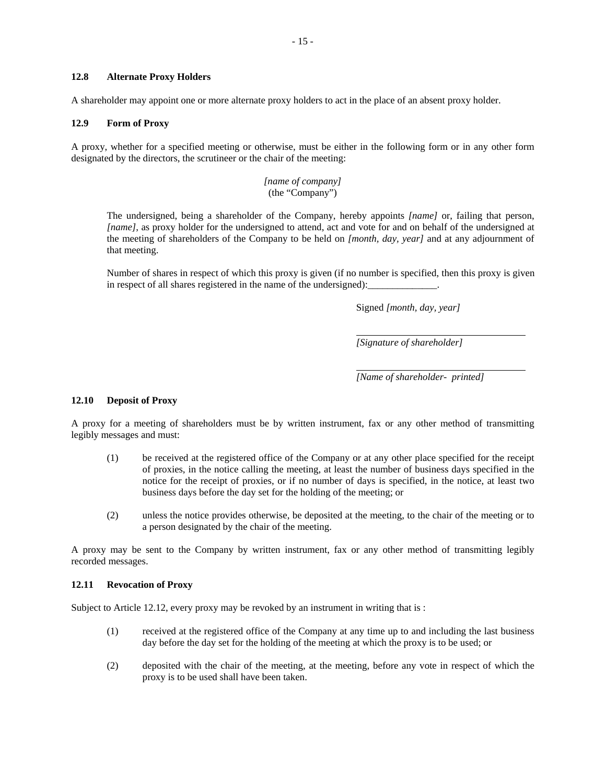A shareholder may appoint one or more alternate proxy holders to act in the place of an absent proxy holder.

#### **12.9 Form of Proxy**

A proxy, whether for a specified meeting or otherwise, must be either in the following form or in any other form designated by the directors, the scrutineer or the chair of the meeting:

> *[name of company]* (the "Company")

The undersigned, being a shareholder of the Company, hereby appoints *[name]* or, failing that person, *[name]*, as proxy holder for the undersigned to attend, act and vote for and on behalf of the undersigned at the meeting of shareholders of the Company to be held on *[month, day, year]* and at any adjournment of that meeting.

Number of shares in respect of which this proxy is given (if no number is specified, then this proxy is given in respect of all shares registered in the name of the undersigned):

Signed *[month, day, year]* 

*[Signature of shareholder]* 

*[Name of shareholder- printed]* 

#### **12.10 Deposit of Proxy**

A proxy for a meeting of shareholders must be by written instrument, fax or any other method of transmitting legibly messages and must:

- (1) be received at the registered office of the Company or at any other place specified for the receipt of proxies, in the notice calling the meeting, at least the number of business days specified in the notice for the receipt of proxies, or if no number of days is specified, in the notice, at least two business days before the day set for the holding of the meeting; or
- (2) unless the notice provides otherwise, be deposited at the meeting, to the chair of the meeting or to a person designated by the chair of the meeting.

A proxy may be sent to the Company by written instrument, fax or any other method of transmitting legibly recorded messages.

#### **12.11 Revocation of Proxy**

Subject to Article 12.12, every proxy may be revoked by an instrument in writing that is :

- (1) received at the registered office of the Company at any time up to and including the last business day before the day set for the holding of the meeting at which the proxy is to be used; or
- (2) deposited with the chair of the meeting, at the meeting, before any vote in respect of which the proxy is to be used shall have been taken.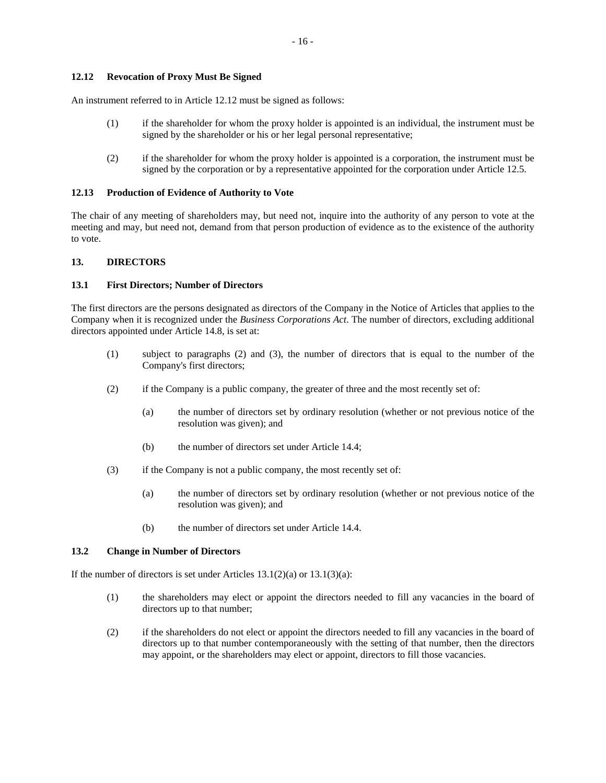### **12.12 Revocation of Proxy Must Be Signed**

An instrument referred to in Article 12.12 must be signed as follows:

- (1) if the shareholder for whom the proxy holder is appointed is an individual, the instrument must be signed by the shareholder or his or her legal personal representative;
- (2) if the shareholder for whom the proxy holder is appointed is a corporation, the instrument must be signed by the corporation or by a representative appointed for the corporation under Article 12.5.

#### **12.13 Production of Evidence of Authority to Vote**

The chair of any meeting of shareholders may, but need not, inquire into the authority of any person to vote at the meeting and may, but need not, demand from that person production of evidence as to the existence of the authority to vote.

# **13. DIRECTORS**

#### **13.1 First Directors; Number of Directors**

The first directors are the persons designated as directors of the Company in the Notice of Articles that applies to the Company when it is recognized under the *Business Corporations Act*. The number of directors, excluding additional directors appointed under Article 14.8, is set at:

- (1) subject to paragraphs (2) and (3), the number of directors that is equal to the number of the Company's first directors;
- (2) if the Company is a public company, the greater of three and the most recently set of:
	- (a) the number of directors set by ordinary resolution (whether or not previous notice of the resolution was given); and
	- (b) the number of directors set under Article 14.4;
- (3) if the Company is not a public company, the most recently set of:
	- (a) the number of directors set by ordinary resolution (whether or not previous notice of the resolution was given); and
	- (b) the number of directors set under Article 14.4.

#### **13.2 Change in Number of Directors**

If the number of directors is set under Articles  $13.1(2)(a)$  or  $13.1(3)(a)$ :

- (1) the shareholders may elect or appoint the directors needed to fill any vacancies in the board of directors up to that number;
- (2) if the shareholders do not elect or appoint the directors needed to fill any vacancies in the board of directors up to that number contemporaneously with the setting of that number, then the directors may appoint, or the shareholders may elect or appoint, directors to fill those vacancies.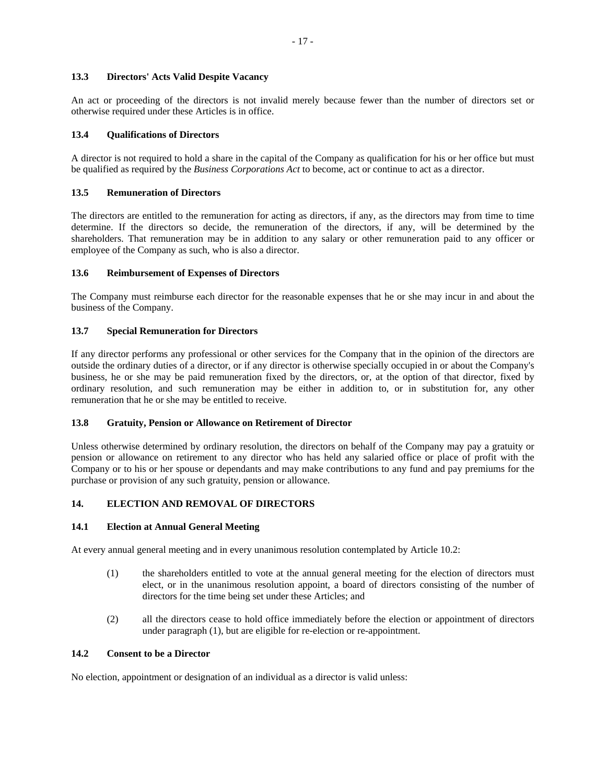# **13.3 Directors' Acts Valid Despite Vacancy**

An act or proceeding of the directors is not invalid merely because fewer than the number of directors set or otherwise required under these Articles is in office.

# **13.4 Qualifications of Directors**

A director is not required to hold a share in the capital of the Company as qualification for his or her office but must be qualified as required by the *Business Corporations Act* to become, act or continue to act as a director.

#### **13.5 Remuneration of Directors**

The directors are entitled to the remuneration for acting as directors, if any, as the directors may from time to time determine. If the directors so decide, the remuneration of the directors, if any, will be determined by the shareholders. That remuneration may be in addition to any salary or other remuneration paid to any officer or employee of the Company as such, who is also a director.

# **13.6 Reimbursement of Expenses of Directors**

The Company must reimburse each director for the reasonable expenses that he or she may incur in and about the business of the Company.

# **13.7 Special Remuneration for Directors**

If any director performs any professional or other services for the Company that in the opinion of the directors are outside the ordinary duties of a director, or if any director is otherwise specially occupied in or about the Company's business, he or she may be paid remuneration fixed by the directors, or, at the option of that director, fixed by ordinary resolution, and such remuneration may be either in addition to, or in substitution for, any other remuneration that he or she may be entitled to receive.

#### **13.8 Gratuity, Pension or Allowance on Retirement of Director**

Unless otherwise determined by ordinary resolution, the directors on behalf of the Company may pay a gratuity or pension or allowance on retirement to any director who has held any salaried office or place of profit with the Company or to his or her spouse or dependants and may make contributions to any fund and pay premiums for the purchase or provision of any such gratuity, pension or allowance.

# **14. ELECTION AND REMOVAL OF DIRECTORS**

#### **14.1 Election at Annual General Meeting**

At every annual general meeting and in every unanimous resolution contemplated by Article 10.2:

- (1) the shareholders entitled to vote at the annual general meeting for the election of directors must elect, or in the unanimous resolution appoint, a board of directors consisting of the number of directors for the time being set under these Articles; and
- (2) all the directors cease to hold office immediately before the election or appointment of directors under paragraph (1), but are eligible for re-election or re-appointment.

# **14.2 Consent to be a Director**

No election, appointment or designation of an individual as a director is valid unless: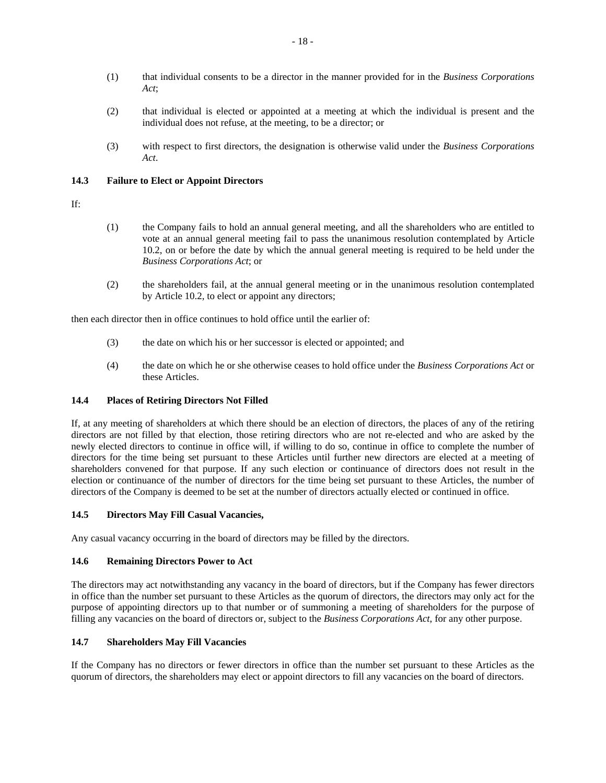- (1) that individual consents to be a director in the manner provided for in the *Business Corporations Act*;
- (2) that individual is elected or appointed at a meeting at which the individual is present and the individual does not refuse, at the meeting, to be a director; or
- (3) with respect to first directors, the designation is otherwise valid under the *Business Corporations Act*.

# **14.3 Failure to Elect or Appoint Directors**

If:

- (1) the Company fails to hold an annual general meeting, and all the shareholders who are entitled to vote at an annual general meeting fail to pass the unanimous resolution contemplated by Article 10.2, on or before the date by which the annual general meeting is required to be held under the *Business Corporations Act*; or
- (2) the shareholders fail, at the annual general meeting or in the unanimous resolution contemplated by Article 10.2, to elect or appoint any directors;

then each director then in office continues to hold office until the earlier of:

- (3) the date on which his or her successor is elected or appointed; and
- (4) the date on which he or she otherwise ceases to hold office under the *Business Corporations Act* or these Articles.

# **14.4 Places of Retiring Directors Not Filled**

If, at any meeting of shareholders at which there should be an election of directors, the places of any of the retiring directors are not filled by that election, those retiring directors who are not re-elected and who are asked by the newly elected directors to continue in office will, if willing to do so, continue in office to complete the number of directors for the time being set pursuant to these Articles until further new directors are elected at a meeting of shareholders convened for that purpose. If any such election or continuance of directors does not result in the election or continuance of the number of directors for the time being set pursuant to these Articles, the number of directors of the Company is deemed to be set at the number of directors actually elected or continued in office.

#### **14.5 Directors May Fill Casual Vacancies,**

Any casual vacancy occurring in the board of directors may be filled by the directors.

# **14.6 Remaining Directors Power to Act**

The directors may act notwithstanding any vacancy in the board of directors, but if the Company has fewer directors in office than the number set pursuant to these Articles as the quorum of directors, the directors may only act for the purpose of appointing directors up to that number or of summoning a meeting of shareholders for the purpose of filling any vacancies on the board of directors or, subject to the *Business Corporations Act*, for any other purpose.

# **14.7 Shareholders May Fill Vacancies**

If the Company has no directors or fewer directors in office than the number set pursuant to these Articles as the quorum of directors, the shareholders may elect or appoint directors to fill any vacancies on the board of directors.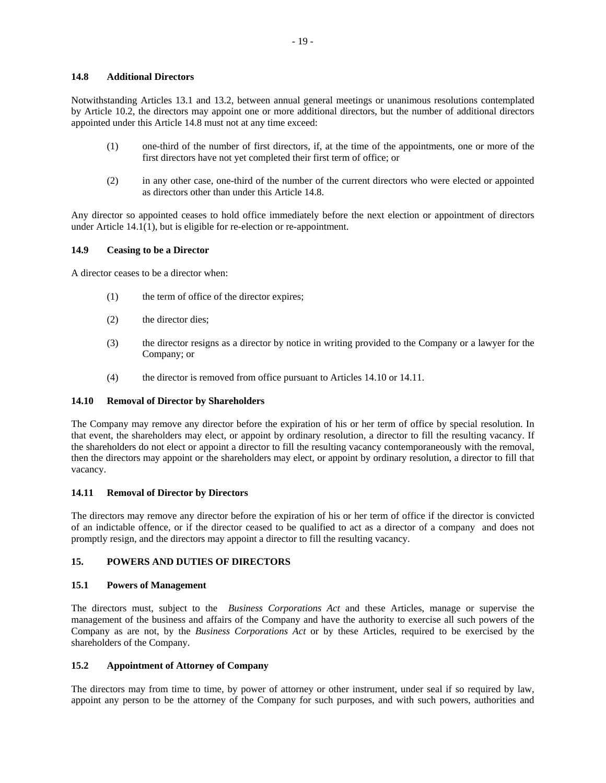### **14.8 Additional Directors**

Notwithstanding Articles 13.1 and 13.2, between annual general meetings or unanimous resolutions contemplated by Article 10.2, the directors may appoint one or more additional directors, but the number of additional directors appointed under this Article 14.8 must not at any time exceed:

- (1) one-third of the number of first directors, if, at the time of the appointments, one or more of the first directors have not yet completed their first term of office; or
- (2) in any other case, one-third of the number of the current directors who were elected or appointed as directors other than under this Article 14.8.

Any director so appointed ceases to hold office immediately before the next election or appointment of directors under Article 14.1(1), but is eligible for re-election or re-appointment.

# **14.9 Ceasing to be a Director**

A director ceases to be a director when:

- (1) the term of office of the director expires;
- (2) the director dies;
- (3) the director resigns as a director by notice in writing provided to the Company or a lawyer for the Company; or
- (4) the director is removed from office pursuant to Articles 14.10 or 14.11.

#### **14.10 Removal of Director by Shareholders**

The Company may remove any director before the expiration of his or her term of office by special resolution. In that event, the shareholders may elect, or appoint by ordinary resolution, a director to fill the resulting vacancy. If the shareholders do not elect or appoint a director to fill the resulting vacancy contemporaneously with the removal, then the directors may appoint or the shareholders may elect, or appoint by ordinary resolution, a director to fill that vacancy.

#### **14.11 Removal of Director by Directors**

The directors may remove any director before the expiration of his or her term of office if the director is convicted of an indictable offence, or if the director ceased to be qualified to act as a director of a company and does not promptly resign, and the directors may appoint a director to fill the resulting vacancy.

# **15. POWERS AND DUTIES OF DIRECTORS**

#### **15.1 Powers of Management**

The directors must, subject to the *Business Corporations Act* and these Articles, manage or supervise the management of the business and affairs of the Company and have the authority to exercise all such powers of the Company as are not, by the *Business Corporations Act* or by these Articles, required to be exercised by the shareholders of the Company.

# **15.2 Appointment of Attorney of Company**

The directors may from time to time, by power of attorney or other instrument, under seal if so required by law, appoint any person to be the attorney of the Company for such purposes, and with such powers, authorities and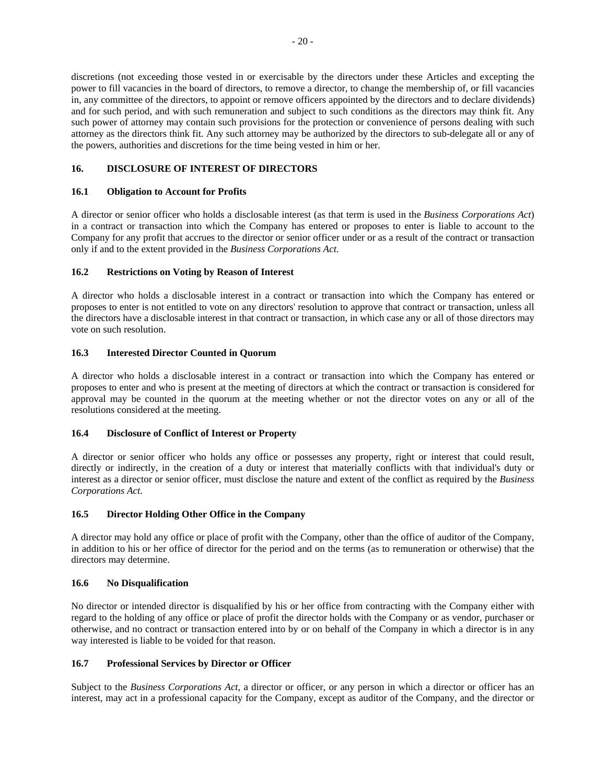discretions (not exceeding those vested in or exercisable by the directors under these Articles and excepting the power to fill vacancies in the board of directors, to remove a director, to change the membership of, or fill vacancies in, any committee of the directors, to appoint or remove officers appointed by the directors and to declare dividends) and for such period, and with such remuneration and subject to such conditions as the directors may think fit. Any such power of attorney may contain such provisions for the protection or convenience of persons dealing with such attorney as the directors think fit. Any such attorney may be authorized by the directors to sub-delegate all or any of the powers, authorities and discretions for the time being vested in him or her.

# **16. DISCLOSURE OF INTEREST OF DIRECTORS**

# **16.1 Obligation to Account for Profits**

A director or senior officer who holds a disclosable interest (as that term is used in the *Business Corporations Act*) in a contract or transaction into which the Company has entered or proposes to enter is liable to account to the Company for any profit that accrues to the director or senior officer under or as a result of the contract or transaction only if and to the extent provided in the *Business Corporations Act*.

# **16.2 Restrictions on Voting by Reason of Interest**

A director who holds a disclosable interest in a contract or transaction into which the Company has entered or proposes to enter is not entitled to vote on any directors' resolution to approve that contract or transaction, unless all the directors have a disclosable interest in that contract or transaction, in which case any or all of those directors may vote on such resolution.

# **16.3 Interested Director Counted in Quorum**

A director who holds a disclosable interest in a contract or transaction into which the Company has entered or proposes to enter and who is present at the meeting of directors at which the contract or transaction is considered for approval may be counted in the quorum at the meeting whether or not the director votes on any or all of the resolutions considered at the meeting.

# **16.4 Disclosure of Conflict of Interest or Property**

A director or senior officer who holds any office or possesses any property, right or interest that could result, directly or indirectly, in the creation of a duty or interest that materially conflicts with that individual's duty or interest as a director or senior officer, must disclose the nature and extent of the conflict as required by the *Business Corporations Act*.

# **16.5 Director Holding Other Office in the Company**

A director may hold any office or place of profit with the Company, other than the office of auditor of the Company, in addition to his or her office of director for the period and on the terms (as to remuneration or otherwise) that the directors may determine.

#### **16.6 No Disqualification**

No director or intended director is disqualified by his or her office from contracting with the Company either with regard to the holding of any office or place of profit the director holds with the Company or as vendor, purchaser or otherwise, and no contract or transaction entered into by or on behalf of the Company in which a director is in any way interested is liable to be voided for that reason.

# **16.7 Professional Services by Director or Officer**

Subject to the *Business Corporations Act*, a director or officer, or any person in which a director or officer has an interest, may act in a professional capacity for the Company, except as auditor of the Company, and the director or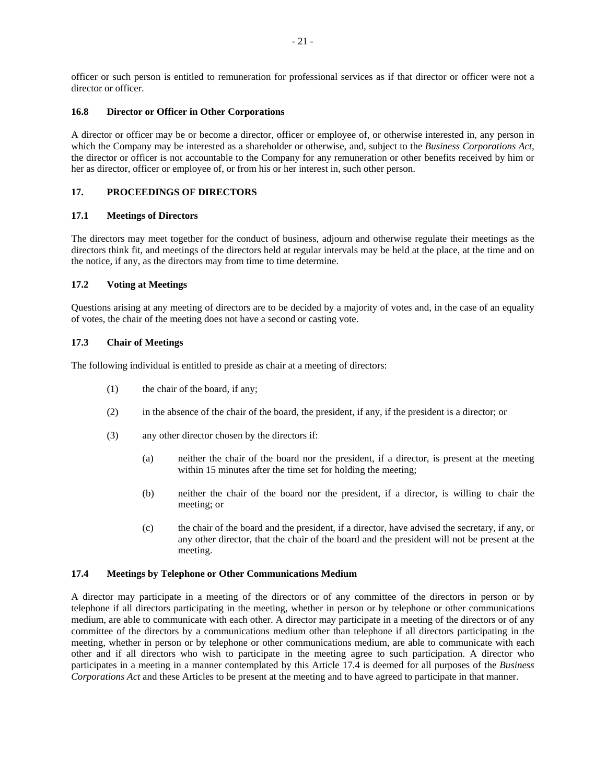officer or such person is entitled to remuneration for professional services as if that director or officer were not a director or officer.

# **16.8 Director or Officer in Other Corporations**

A director or officer may be or become a director, officer or employee of, or otherwise interested in, any person in which the Company may be interested as a shareholder or otherwise, and, subject to the *Business Corporations Act*, the director or officer is not accountable to the Company for any remuneration or other benefits received by him or her as director, officer or employee of, or from his or her interest in, such other person.

# **17. PROCEEDINGS OF DIRECTORS**

# **17.1 Meetings of Directors**

The directors may meet together for the conduct of business, adjourn and otherwise regulate their meetings as the directors think fit, and meetings of the directors held at regular intervals may be held at the place, at the time and on the notice, if any, as the directors may from time to time determine.

# **17.2 Voting at Meetings**

Questions arising at any meeting of directors are to be decided by a majority of votes and, in the case of an equality of votes, the chair of the meeting does not have a second or casting vote.

# **17.3 Chair of Meetings**

The following individual is entitled to preside as chair at a meeting of directors:

- (1) the chair of the board, if any;
- (2) in the absence of the chair of the board, the president, if any, if the president is a director; or
- (3) any other director chosen by the directors if:
	- (a) neither the chair of the board nor the president, if a director, is present at the meeting within 15 minutes after the time set for holding the meeting;
	- (b) neither the chair of the board nor the president, if a director, is willing to chair the meeting; or
	- (c) the chair of the board and the president, if a director, have advised the secretary, if any, or any other director, that the chair of the board and the president will not be present at the meeting.

### **17.4 Meetings by Telephone or Other Communications Medium**

A director may participate in a meeting of the directors or of any committee of the directors in person or by telephone if all directors participating in the meeting, whether in person or by telephone or other communications medium, are able to communicate with each other. A director may participate in a meeting of the directors or of any committee of the directors by a communications medium other than telephone if all directors participating in the meeting, whether in person or by telephone or other communications medium, are able to communicate with each other and if all directors who wish to participate in the meeting agree to such participation. A director who participates in a meeting in a manner contemplated by this Article 17.4 is deemed for all purposes of the *Business Corporations Act* and these Articles to be present at the meeting and to have agreed to participate in that manner.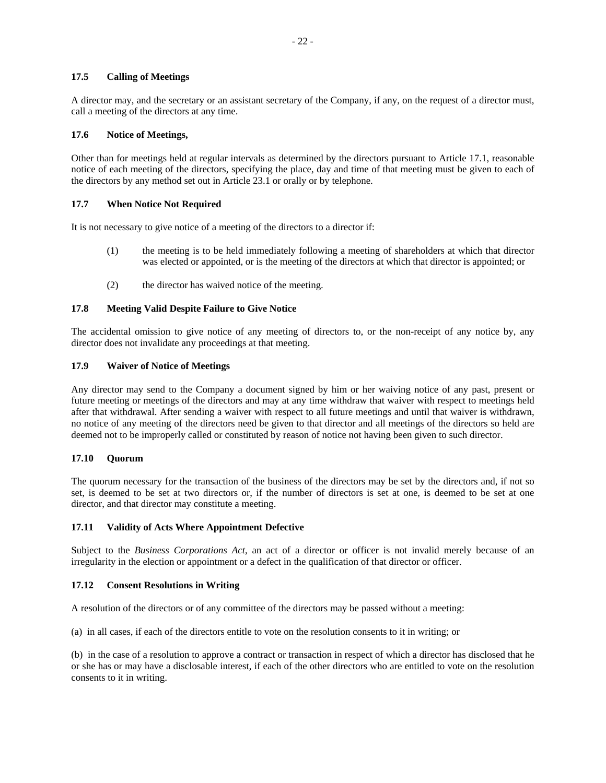# **17.5 Calling of Meetings**

A director may, and the secretary or an assistant secretary of the Company, if any, on the request of a director must, call a meeting of the directors at any time.

### **17.6 Notice of Meetings,**

Other than for meetings held at regular intervals as determined by the directors pursuant to Article 17.1, reasonable notice of each meeting of the directors, specifying the place, day and time of that meeting must be given to each of the directors by any method set out in Article 23.1 or orally or by telephone.

# **17.7 When Notice Not Required**

It is not necessary to give notice of a meeting of the directors to a director if:

- (1) the meeting is to be held immediately following a meeting of shareholders at which that director was elected or appointed, or is the meeting of the directors at which that director is appointed; or
- (2) the director has waived notice of the meeting.

# **17.8 Meeting Valid Despite Failure to Give Notice**

The accidental omission to give notice of any meeting of directors to, or the non-receipt of any notice by, any director does not invalidate any proceedings at that meeting.

#### **17.9 Waiver of Notice of Meetings**

Any director may send to the Company a document signed by him or her waiving notice of any past, present or future meeting or meetings of the directors and may at any time withdraw that waiver with respect to meetings held after that withdrawal. After sending a waiver with respect to all future meetings and until that waiver is withdrawn, no notice of any meeting of the directors need be given to that director and all meetings of the directors so held are deemed not to be improperly called or constituted by reason of notice not having been given to such director.

# **17.10 Quorum**

The quorum necessary for the transaction of the business of the directors may be set by the directors and, if not so set, is deemed to be set at two directors or, if the number of directors is set at one, is deemed to be set at one director, and that director may constitute a meeting.

# **17.11 Validity of Acts Where Appointment Defective**

Subject to the *Business Corporations Act*, an act of a director or officer is not invalid merely because of an irregularity in the election or appointment or a defect in the qualification of that director or officer.

#### **17.12 Consent Resolutions in Writing**

A resolution of the directors or of any committee of the directors may be passed without a meeting:

(a) in all cases, if each of the directors entitle to vote on the resolution consents to it in writing; or

(b) in the case of a resolution to approve a contract or transaction in respect of which a director has disclosed that he or she has or may have a disclosable interest, if each of the other directors who are entitled to vote on the resolution consents to it in writing.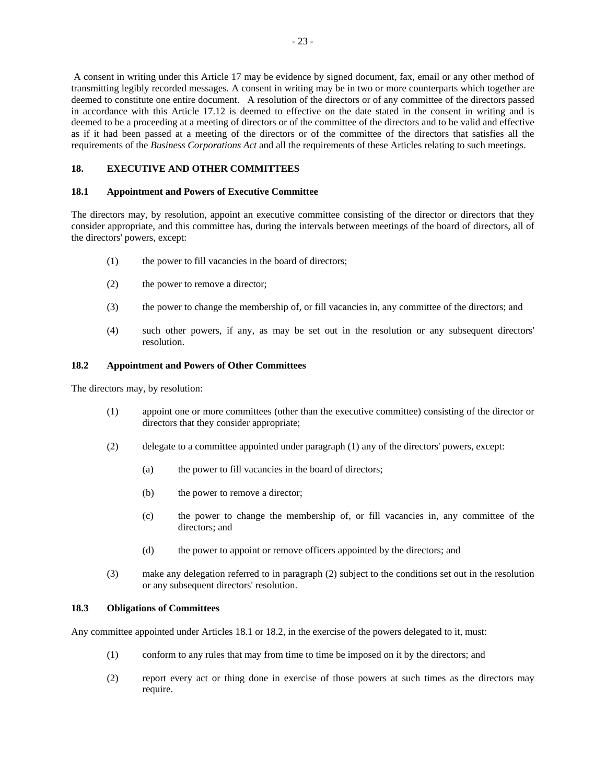A consent in writing under this Article 17 may be evidence by signed document, fax, email or any other method of transmitting legibly recorded messages. A consent in writing may be in two or more counterparts which together are deemed to constitute one entire document. A resolution of the directors or of any committee of the directors passed in accordance with this Article 17.12 is deemed to effective on the date stated in the consent in writing and is deemed to be a proceeding at a meeting of directors or of the committee of the directors and to be valid and effective as if it had been passed at a meeting of the directors or of the committee of the directors that satisfies all the requirements of the *Business Corporations Act* and all the requirements of these Articles relating to such meetings.

# **18. EXECUTIVE AND OTHER COMMITTEES**

# **18.1 Appointment and Powers of Executive Committee**

The directors may, by resolution, appoint an executive committee consisting of the director or directors that they consider appropriate, and this committee has, during the intervals between meetings of the board of directors, all of the directors' powers, except:

- (1) the power to fill vacancies in the board of directors;
- (2) the power to remove a director;
- (3) the power to change the membership of, or fill vacancies in, any committee of the directors; and
- (4) such other powers, if any, as may be set out in the resolution or any subsequent directors' resolution.

### **18.2 Appointment and Powers of Other Committees**

The directors may, by resolution:

- (1) appoint one or more committees (other than the executive committee) consisting of the director or directors that they consider appropriate;
- (2) delegate to a committee appointed under paragraph (1) any of the directors' powers, except:
	- (a) the power to fill vacancies in the board of directors;
	- (b) the power to remove a director;
	- (c) the power to change the membership of, or fill vacancies in, any committee of the directors; and
	- (d) the power to appoint or remove officers appointed by the directors; and
- (3) make any delegation referred to in paragraph (2) subject to the conditions set out in the resolution or any subsequent directors' resolution.

### **18.3 Obligations of Committees**

Any committee appointed under Articles 18.1 or 18.2, in the exercise of the powers delegated to it, must:

- (1) conform to any rules that may from time to time be imposed on it by the directors; and
- (2) report every act or thing done in exercise of those powers at such times as the directors may require.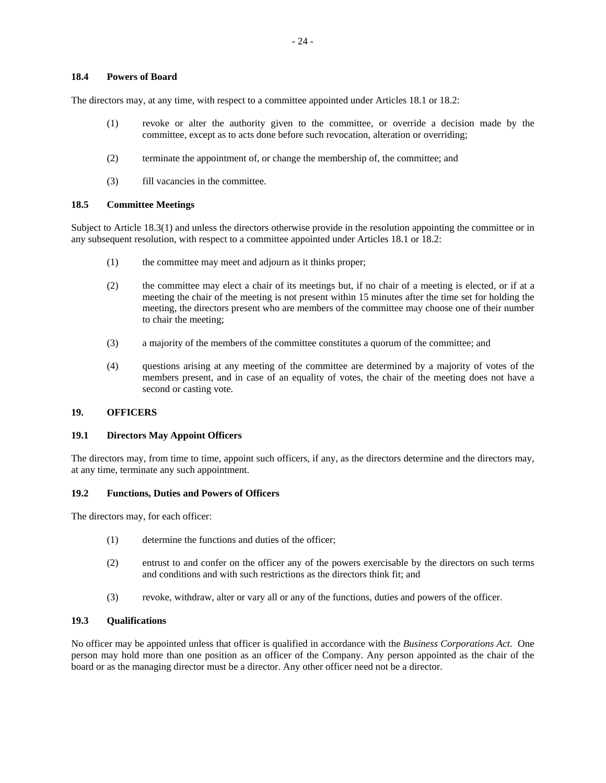#### **18.4 Powers of Board**

The directors may, at any time, with respect to a committee appointed under Articles 18.1 or 18.2:

- (1) revoke or alter the authority given to the committee, or override a decision made by the committee, except as to acts done before such revocation, alteration or overriding;
- (2) terminate the appointment of, or change the membership of, the committee; and
- (3) fill vacancies in the committee.

#### **18.5 Committee Meetings**

Subject to Article 18.3(1) and unless the directors otherwise provide in the resolution appointing the committee or in any subsequent resolution, with respect to a committee appointed under Articles 18.1 or 18.2:

- (1) the committee may meet and adjourn as it thinks proper;
- (2) the committee may elect a chair of its meetings but, if no chair of a meeting is elected, or if at a meeting the chair of the meeting is not present within 15 minutes after the time set for holding the meeting, the directors present who are members of the committee may choose one of their number to chair the meeting;
- (3) a majority of the members of the committee constitutes a quorum of the committee; and
- (4) questions arising at any meeting of the committee are determined by a majority of votes of the members present, and in case of an equality of votes, the chair of the meeting does not have a second or casting vote.

#### **19. OFFICERS**

#### **19.1 Directors May Appoint Officers**

The directors may, from time to time, appoint such officers, if any, as the directors determine and the directors may, at any time, terminate any such appointment.

#### **19.2 Functions, Duties and Powers of Officers**

The directors may, for each officer:

- (1) determine the functions and duties of the officer;
- (2) entrust to and confer on the officer any of the powers exercisable by the directors on such terms and conditions and with such restrictions as the directors think fit; and
- (3) revoke, withdraw, alter or vary all or any of the functions, duties and powers of the officer.

### **19.3 Qualifications**

No officer may be appointed unless that officer is qualified in accordance with the *Business Corporations Act*. One person may hold more than one position as an officer of the Company. Any person appointed as the chair of the board or as the managing director must be a director. Any other officer need not be a director.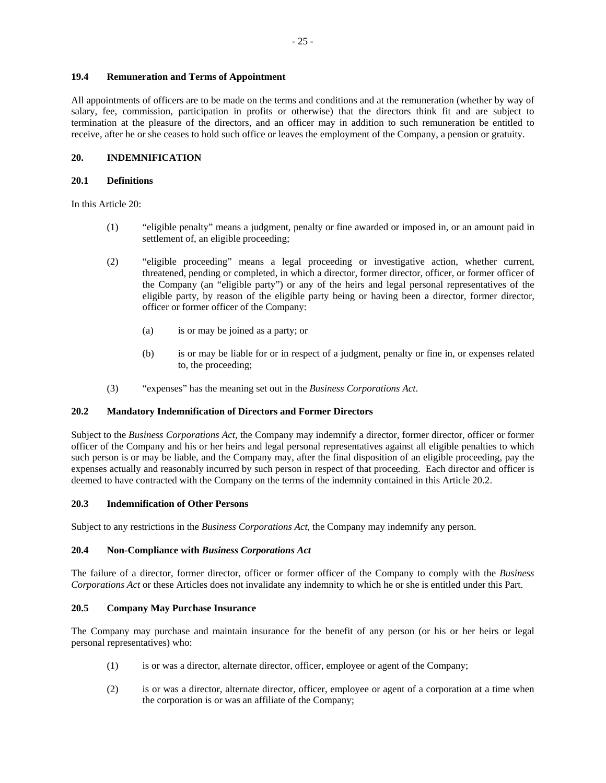# **19.4 Remuneration and Terms of Appointment**

All appointments of officers are to be made on the terms and conditions and at the remuneration (whether by way of salary, fee, commission, participation in profits or otherwise) that the directors think fit and are subject to termination at the pleasure of the directors, and an officer may in addition to such remuneration be entitled to receive, after he or she ceases to hold such office or leaves the employment of the Company, a pension or gratuity.

# **20. INDEMNIFICATION**

# **20.1 Definitions**

In this Article 20:

- (1) "eligible penalty" means a judgment, penalty or fine awarded or imposed in, or an amount paid in settlement of, an eligible proceeding;
- (2) "eligible proceeding" means a legal proceeding or investigative action, whether current, threatened, pending or completed, in which a director, former director, officer, or former officer of the Company (an "eligible party") or any of the heirs and legal personal representatives of the eligible party, by reason of the eligible party being or having been a director, former director, officer or former officer of the Company:
	- (a) is or may be joined as a party; or
	- (b) is or may be liable for or in respect of a judgment, penalty or fine in, or expenses related to, the proceeding;
- (3) "expenses" has the meaning set out in the *Business Corporations Act*.

# **20.2 Mandatory Indemnification of Directors and Former Directors**

Subject to the *Business Corporations Act,* the Company may indemnify a director, former director, officer or former officer of the Company and his or her heirs and legal personal representatives against all eligible penalties to which such person is or may be liable, and the Company may, after the final disposition of an eligible proceeding, pay the expenses actually and reasonably incurred by such person in respect of that proceeding. Each director and officer is deemed to have contracted with the Company on the terms of the indemnity contained in this Article 20.2.

#### **20.3 Indemnification of Other Persons**

Subject to any restrictions in the *Business Corporations Act*, the Company may indemnify any person.

### **20.4 Non-Compliance with** *Business Corporations Act*

The failure of a director, former director, officer or former officer of the Company to comply with the *Business Corporations Act* or these Articles does not invalidate any indemnity to which he or she is entitled under this Part.

#### **20.5 Company May Purchase Insurance**

The Company may purchase and maintain insurance for the benefit of any person (or his or her heirs or legal personal representatives) who:

- (1) is or was a director, alternate director, officer, employee or agent of the Company;
- (2) is or was a director, alternate director, officer, employee or agent of a corporation at a time when the corporation is or was an affiliate of the Company;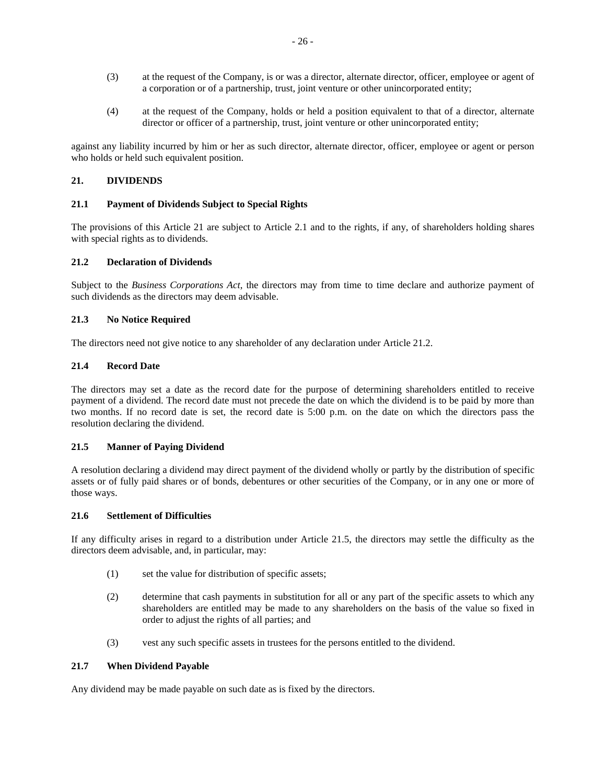- (3) at the request of the Company, is or was a director, alternate director, officer, employee or agent of a corporation or of a partnership, trust, joint venture or other unincorporated entity;
- (4) at the request of the Company, holds or held a position equivalent to that of a director, alternate director or officer of a partnership, trust, joint venture or other unincorporated entity;

against any liability incurred by him or her as such director, alternate director, officer, employee or agent or person who holds or held such equivalent position.

# **21. DIVIDENDS**

# **21.1 Payment of Dividends Subject to Special Rights**

The provisions of this Article 21 are subject to Article 2.1 and to the rights, if any, of shareholders holding shares with special rights as to dividends.

#### **21.2 Declaration of Dividends**

Subject to the *Business Corporations Act*, the directors may from time to time declare and authorize payment of such dividends as the directors may deem advisable.

#### **21.3 No Notice Required**

The directors need not give notice to any shareholder of any declaration under Article 21.2.

#### **21.4 Record Date**

The directors may set a date as the record date for the purpose of determining shareholders entitled to receive payment of a dividend. The record date must not precede the date on which the dividend is to be paid by more than two months. If no record date is set, the record date is 5:00 p.m. on the date on which the directors pass the resolution declaring the dividend.

#### **21.5 Manner of Paying Dividend**

A resolution declaring a dividend may direct payment of the dividend wholly or partly by the distribution of specific assets or of fully paid shares or of bonds, debentures or other securities of the Company, or in any one or more of those ways.

### **21.6 Settlement of Difficulties**

If any difficulty arises in regard to a distribution under Article 21.5, the directors may settle the difficulty as the directors deem advisable, and, in particular, may:

- (1) set the value for distribution of specific assets;
- (2) determine that cash payments in substitution for all or any part of the specific assets to which any shareholders are entitled may be made to any shareholders on the basis of the value so fixed in order to adjust the rights of all parties; and
- (3) vest any such specific assets in trustees for the persons entitled to the dividend.

#### **21.7 When Dividend Payable**

Any dividend may be made payable on such date as is fixed by the directors.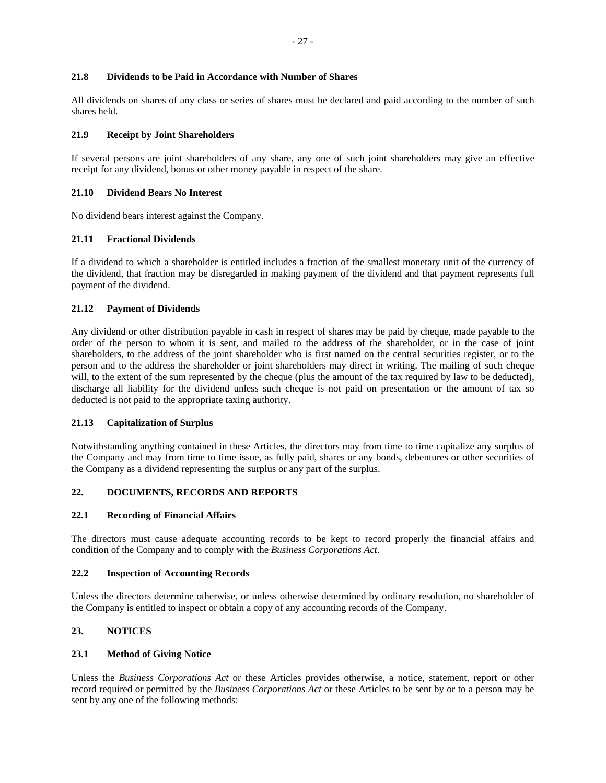### **21.8 Dividends to be Paid in Accordance with Number of Shares**

All dividends on shares of any class or series of shares must be declared and paid according to the number of such shares held.

# **21.9 Receipt by Joint Shareholders**

If several persons are joint shareholders of any share, any one of such joint shareholders may give an effective receipt for any dividend, bonus or other money payable in respect of the share.

# **21.10 Dividend Bears No Interest**

No dividend bears interest against the Company.

# **21.11 Fractional Dividends**

If a dividend to which a shareholder is entitled includes a fraction of the smallest monetary unit of the currency of the dividend, that fraction may be disregarded in making payment of the dividend and that payment represents full payment of the dividend.

# **21.12 Payment of Dividends**

Any dividend or other distribution payable in cash in respect of shares may be paid by cheque, made payable to the order of the person to whom it is sent, and mailed to the address of the shareholder, or in the case of joint shareholders, to the address of the joint shareholder who is first named on the central securities register, or to the person and to the address the shareholder or joint shareholders may direct in writing. The mailing of such cheque will, to the extent of the sum represented by the cheque (plus the amount of the tax required by law to be deducted), discharge all liability for the dividend unless such cheque is not paid on presentation or the amount of tax so deducted is not paid to the appropriate taxing authority.

#### **21.13 Capitalization of Surplus**

Notwithstanding anything contained in these Articles, the directors may from time to time capitalize any surplus of the Company and may from time to time issue, as fully paid, shares or any bonds, debentures or other securities of the Company as a dividend representing the surplus or any part of the surplus.

# **22. DOCUMENTS, RECORDS AND REPORTS**

#### **22.1 Recording of Financial Affairs**

The directors must cause adequate accounting records to be kept to record properly the financial affairs and condition of the Company and to comply with the *Business Corporations Act*.

#### **22.2 Inspection of Accounting Records**

Unless the directors determine otherwise, or unless otherwise determined by ordinary resolution, no shareholder of the Company is entitled to inspect or obtain a copy of any accounting records of the Company.

# **23. NOTICES**

#### **23.1 Method of Giving Notice**

Unless the *Business Corporations Act* or these Articles provides otherwise, a notice, statement, report or other record required or permitted by the *Business Corporations Act* or these Articles to be sent by or to a person may be sent by any one of the following methods: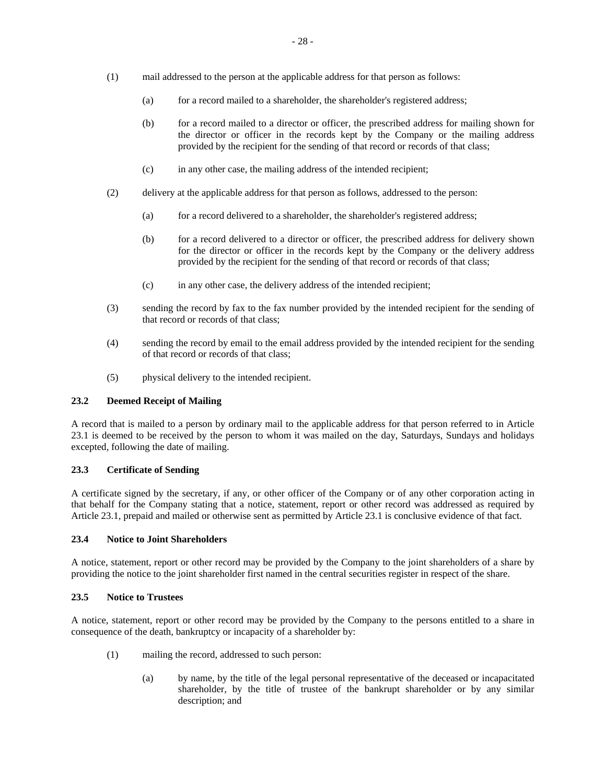- (1) mail addressed to the person at the applicable address for that person as follows:
	- (a) for a record mailed to a shareholder, the shareholder's registered address;
	- (b) for a record mailed to a director or officer, the prescribed address for mailing shown for the director or officer in the records kept by the Company or the mailing address provided by the recipient for the sending of that record or records of that class;
	- (c) in any other case, the mailing address of the intended recipient;
- (2) delivery at the applicable address for that person as follows, addressed to the person:
	- (a) for a record delivered to a shareholder, the shareholder's registered address;
	- (b) for a record delivered to a director or officer, the prescribed address for delivery shown for the director or officer in the records kept by the Company or the delivery address provided by the recipient for the sending of that record or records of that class;
	- (c) in any other case, the delivery address of the intended recipient;
- (3) sending the record by fax to the fax number provided by the intended recipient for the sending of that record or records of that class;
- (4) sending the record by email to the email address provided by the intended recipient for the sending of that record or records of that class;
- (5) physical delivery to the intended recipient.

# **23.2 Deemed Receipt of Mailing**

A record that is mailed to a person by ordinary mail to the applicable address for that person referred to in Article 23.1 is deemed to be received by the person to whom it was mailed on the day, Saturdays, Sundays and holidays excepted, following the date of mailing.

#### **23.3 Certificate of Sending**

A certificate signed by the secretary, if any, or other officer of the Company or of any other corporation acting in that behalf for the Company stating that a notice, statement, report or other record was addressed as required by Article 23.1, prepaid and mailed or otherwise sent as permitted by Article 23.1 is conclusive evidence of that fact.

### **23.4 Notice to Joint Shareholders**

A notice, statement, report or other record may be provided by the Company to the joint shareholders of a share by providing the notice to the joint shareholder first named in the central securities register in respect of the share.

#### **23.5 Notice to Trustees**

A notice, statement, report or other record may be provided by the Company to the persons entitled to a share in consequence of the death, bankruptcy or incapacity of a shareholder by:

- (1) mailing the record, addressed to such person:
	- (a) by name, by the title of the legal personal representative of the deceased or incapacitated shareholder, by the title of trustee of the bankrupt shareholder or by any similar description; and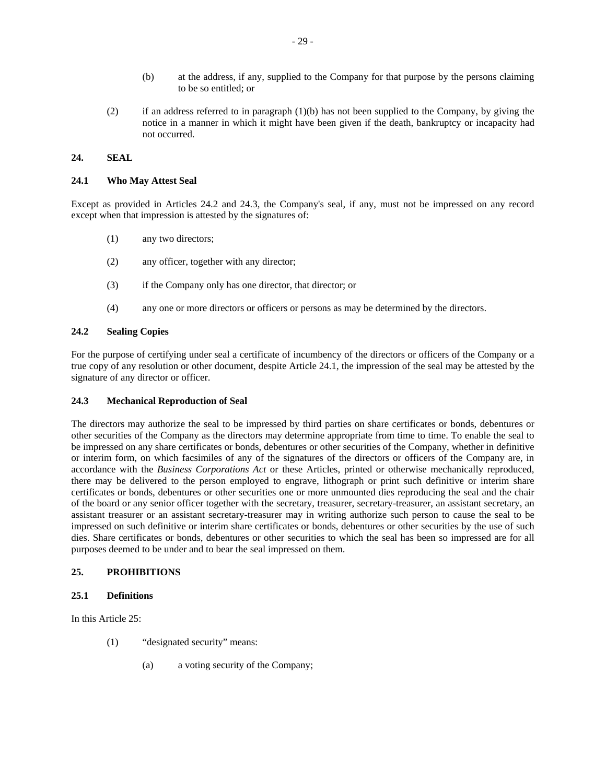- (b) at the address, if any, supplied to the Company for that purpose by the persons claiming to be so entitled; or
- (2) if an address referred to in paragraph  $(1)(b)$  has not been supplied to the Company, by giving the notice in a manner in which it might have been given if the death, bankruptcy or incapacity had not occurred.

# **24. SEAL**

# **24.1 Who May Attest Seal**

Except as provided in Articles 24.2 and 24.3, the Company's seal, if any, must not be impressed on any record except when that impression is attested by the signatures of:

- (1) any two directors;
- (2) any officer, together with any director;
- (3) if the Company only has one director, that director; or
- (4) any one or more directors or officers or persons as may be determined by the directors.

#### **24.2 Sealing Copies**

For the purpose of certifying under seal a certificate of incumbency of the directors or officers of the Company or a true copy of any resolution or other document, despite Article 24.1, the impression of the seal may be attested by the signature of any director or officer.

### **24.3 Mechanical Reproduction of Seal**

The directors may authorize the seal to be impressed by third parties on share certificates or bonds, debentures or other securities of the Company as the directors may determine appropriate from time to time. To enable the seal to be impressed on any share certificates or bonds, debentures or other securities of the Company, whether in definitive or interim form, on which facsimiles of any of the signatures of the directors or officers of the Company are, in accordance with the *Business Corporations Act* or these Articles, printed or otherwise mechanically reproduced, there may be delivered to the person employed to engrave, lithograph or print such definitive or interim share certificates or bonds, debentures or other securities one or more unmounted dies reproducing the seal and the chair of the board or any senior officer together with the secretary, treasurer, secretary-treasurer, an assistant secretary, an assistant treasurer or an assistant secretary-treasurer may in writing authorize such person to cause the seal to be impressed on such definitive or interim share certificates or bonds, debentures or other securities by the use of such dies. Share certificates or bonds, debentures or other securities to which the seal has been so impressed are for all purposes deemed to be under and to bear the seal impressed on them.

### **25. PROHIBITIONS**

#### **25.1 Definitions**

In this Article 25:

- (1) "designated security" means:
	- (a) a voting security of the Company;